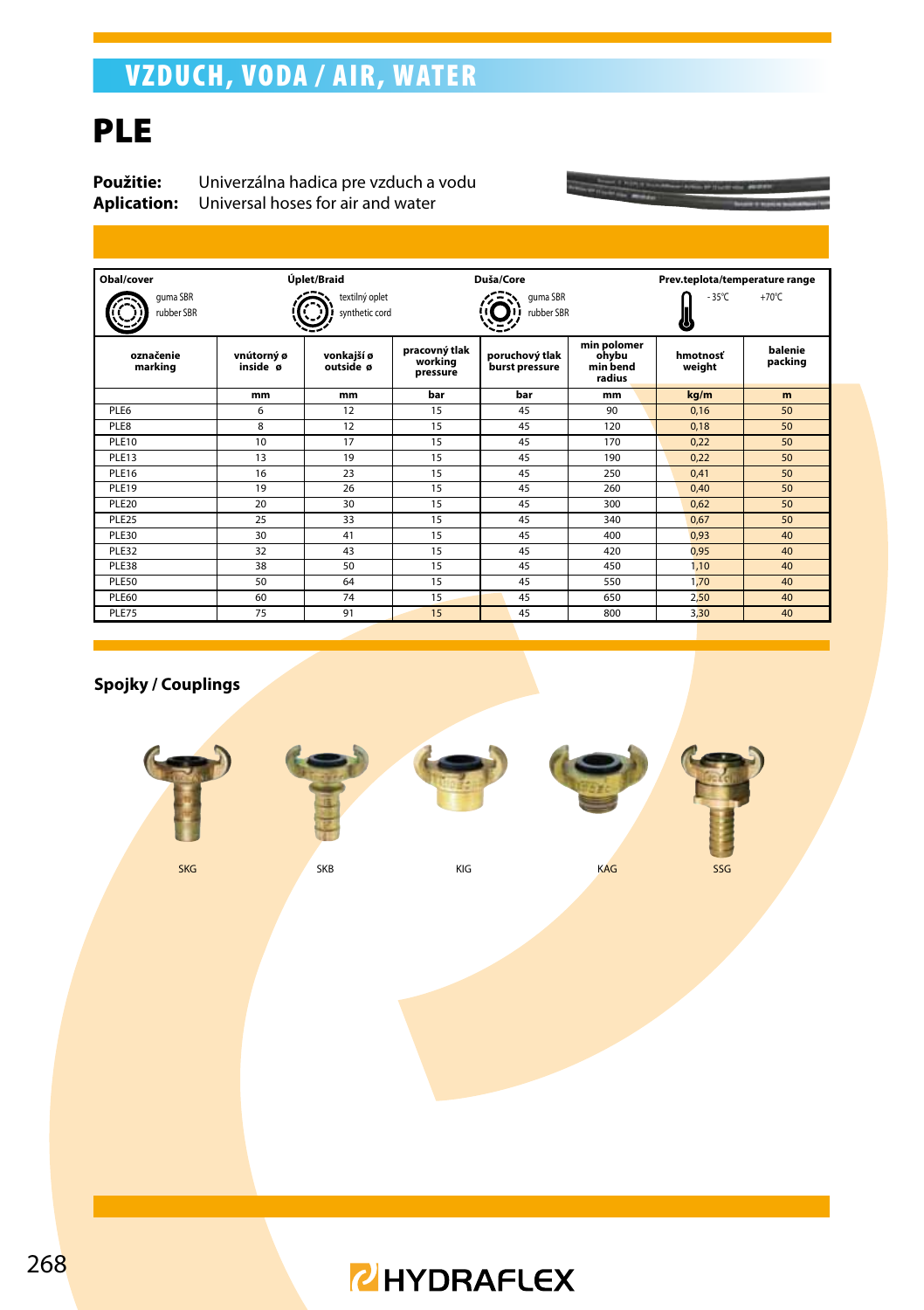## VZDUCH, VODA / AIR, WATER

## **PLE**

**Použitie:** Univerzálna hadica pre vzduch a vodu<br>**Aplication:** Universal hoses for air and water **Aplication:** Universal hoses for air and water

| Obal/cover             |                        | Úplet/Braid                      |                                      | Duša/Core                        |                                            | Prev.teplota/temperature range |                    |
|------------------------|------------------------|----------------------------------|--------------------------------------|----------------------------------|--------------------------------------------|--------------------------------|--------------------|
| guma SBR<br>rubber SBR |                        | textilný oplet<br>synthetic cord |                                      | quma SBR<br>rubber SBR           | $-35^{\circ}$ C                            | $+70^{\circ}$ C                |                    |
| označenie<br>marking   | vnútorný ø<br>inside ø | vonkajší ø<br>outside ø          | pracovný tlak<br>working<br>pressure | poruchový tlak<br>burst pressure | min polomer<br>ohvbu<br>min bend<br>radius | hmotnosť<br>weight             | balenie<br>packing |
|                        | mm                     | mm                               | bar                                  | bar                              | mm                                         | kg/m                           | m                  |
| PI F6                  | 6                      | 12                               | 15                                   | 45                               | 90                                         | 0.16                           | 50                 |
| PI F8                  | 8                      | 12                               | 15                                   | 45                               | 120                                        | 0.18                           | 50                 |
| PI F10                 | 10 <sup>10</sup>       | 17                               | 15                                   | 45                               | 170                                        | 0.22                           | 50                 |
| <b>PIF13</b>           | 13                     | 19                               | 15                                   | 45                               | 190                                        | 0,22                           | 50                 |
| PLE16                  | 16                     | 23                               | 15                                   | 45                               | 250                                        | 0,41                           | 50                 |
| PLE19                  | 19                     | 26                               | 15                                   | 45                               | 260                                        | 0.40                           | 50                 |
| PI F20                 | 20                     | 30                               | 15                                   | 45                               | 300                                        | 0,62                           | 50                 |
| PLE <sub>25</sub>      | 25                     | 33                               | 15                                   | 45                               | 340                                        | 0,67                           | 50                 |
| PLE30                  | 30                     | 41                               | 15                                   | 45                               | 400                                        | 0,93                           | 40                 |
| PLE32                  | 32                     | 43                               | 15                                   | 45                               | 420                                        | 0.95                           | 40                 |
| PLE38                  | 38                     | 50                               | 15                                   | 45                               | 450                                        | 1.10                           | 40                 |
| PLE50                  | 50                     | 64                               | 15                                   | 45                               | 550                                        | 1,70                           | 40                 |
| PLE60                  | 60                     | 74                               | 15                                   | 45                               | 650                                        | 2,50                           | 40                 |
| PLE75                  | 75                     | 91                               | 15                                   | 45                               | 800                                        | 3,30                           | 40                 |

#### **Spojky / Couplings**







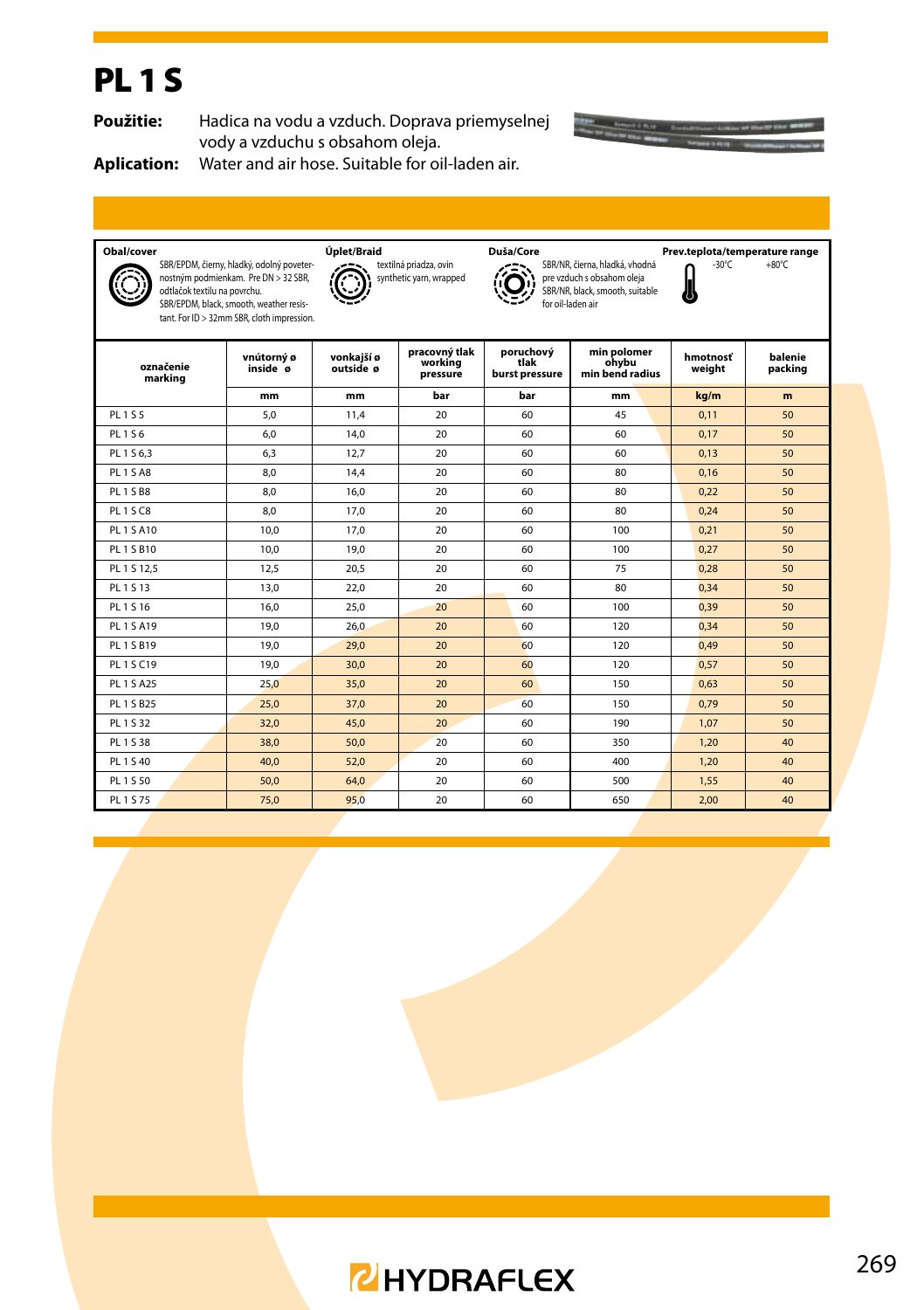## PL 1 S

**Použitie:** Hadica na vodu a vzduch. Doprava priemyselnej vody a vzduchu s obsahom oleja.



**Aplication:** Water and air hose. Suitable for oil-laden air.

| Obal/cover                                                                                                                                                                                                 |                        | Úplet/Braid                                       |                                      | Duša/Core                                                                                                            |                                         | Prev.teplota/temperature range |                    |
|------------------------------------------------------------------------------------------------------------------------------------------------------------------------------------------------------------|------------------------|---------------------------------------------------|--------------------------------------|----------------------------------------------------------------------------------------------------------------------|-----------------------------------------|--------------------------------|--------------------|
| SBR/EPDM, čierny, hladký, odolný poveter-<br>nostným podmienkam. Pre DN > 32 SBR,<br>odtlačok textilu na povrchu.<br>SBR/EPDM, black, smooth, weather resis-<br>tant. For ID > 32mm SBR, cloth impression. |                        | textilná priadza, ovin<br>synthetic yarn, wrapped |                                      | SBR/NR, čierna, hladká, vhodná<br>pre vzduch s obsahom oleja<br>SBR/NR, black, smooth, suitable<br>for oil-laden air | $-30^{\circ}$ C<br>IJ                   | $+80^{\circ}$ C                |                    |
| označenie<br>marking                                                                                                                                                                                       | vnútorný ø<br>inside ø | vonkaiší ø<br>outside ø                           | pracovný tlak<br>working<br>pressure | poruchový<br>tlak<br>burst pressure                                                                                  | min polomer<br>ohybu<br>min bend radius | hmotnosť<br>weight             | balenie<br>packing |
|                                                                                                                                                                                                            | mm                     | mm                                                | bar                                  | bar                                                                                                                  | mm                                      | kg/m                           | m                  |
| PL 1 S 5                                                                                                                                                                                                   | 5.0                    | 11.4                                              | 20                                   | 60                                                                                                                   | 45                                      | 0.11                           | 50                 |
| PL 1 S 6                                                                                                                                                                                                   | 6.0                    | 14,0                                              | 20                                   | 60                                                                                                                   | 60                                      | 0.17                           | 50                 |
| PL 1 S 6.3                                                                                                                                                                                                 | 6.3                    | 12.7                                              | 20                                   | 60                                                                                                                   | 60                                      | 0.13                           | 50                 |
| PL <sub>15A8</sub>                                                                                                                                                                                         | 8.0                    | 14.4                                              | 20                                   | 60                                                                                                                   | 80                                      | 0.16                           | 50                 |
| <b>PL 1 S B8</b>                                                                                                                                                                                           | 8.0                    | 16.0                                              | 20                                   | 60                                                                                                                   | 80                                      | 0,22                           | 50                 |
| PL1SC8                                                                                                                                                                                                     | 8.0                    | 17.0                                              | 20                                   | 60                                                                                                                   | 80                                      | 0.24                           | 50                 |
| PL 1 S A10                                                                                                                                                                                                 | 10.0                   | 17.0                                              | 20                                   | 60                                                                                                                   | 100                                     | 0.21                           | 50                 |
| PL 1 S B10                                                                                                                                                                                                 | 10.0                   | 19.0                                              | 20                                   | 60                                                                                                                   | 100                                     | 0.27                           | 50                 |
| PL 1 S 12,5                                                                                                                                                                                                | 12,5                   | 20,5                                              | 20                                   | 60                                                                                                                   | 75                                      | 0,28                           | 50                 |
| PL 1 S 13                                                                                                                                                                                                  | 13,0                   | 22,0                                              | 20                                   | 60                                                                                                                   | 80                                      | 0,34                           | 50                 |
| PL 1 S 16                                                                                                                                                                                                  | 16.0                   | 25.0                                              | 20                                   | 60                                                                                                                   | 100                                     | 0.39                           | 50                 |
| PL 1 S A 19                                                                                                                                                                                                | 19.0                   | 26,0                                              | 20                                   | 60                                                                                                                   | 120                                     | 0.34                           | 50                 |
| PL 1 S B19                                                                                                                                                                                                 | 19,0                   | 29,0                                              | 20                                   | 60                                                                                                                   | 120                                     | 0.49                           | 50                 |
| PL 1 S C19                                                                                                                                                                                                 | 19.0                   | 30.0                                              | 20                                   | 60                                                                                                                   | 120                                     | 0.57                           | 50                 |
| PL 1 S A25                                                                                                                                                                                                 | 25.0                   | 35,0                                              | 20                                   | 60                                                                                                                   | 150                                     | 0.63                           | 50                 |
| PL 1 S B25                                                                                                                                                                                                 | 25.0                   | 37,0                                              | 20                                   | 60                                                                                                                   | 150                                     | 0.79                           | 50                 |
| PL 1 S 32                                                                                                                                                                                                  | 32,0                   | 45,0                                              | 20                                   | 60                                                                                                                   | 190                                     | 1,07                           | 50                 |
| PL 1 S 38                                                                                                                                                                                                  | 38.0                   | 50.0                                              | 20 <sup>2</sup>                      | 60                                                                                                                   | 350                                     | 1.20                           | 40                 |
| PI 1 S 40                                                                                                                                                                                                  | 40.0                   | 52,0                                              | 20 <sup>2</sup>                      | 60                                                                                                                   | 400                                     | 1,20                           | 40                 |
| PL 1 S 50                                                                                                                                                                                                  | 50,0                   | 64,0                                              | 20                                   | 60                                                                                                                   | 500                                     | 1,55                           | 40                 |
| PL 1 S 75                                                                                                                                                                                                  | 75.0                   | 95.0                                              | 20 <sub>0</sub>                      | 60                                                                                                                   | 650                                     | 2.00                           | 40                 |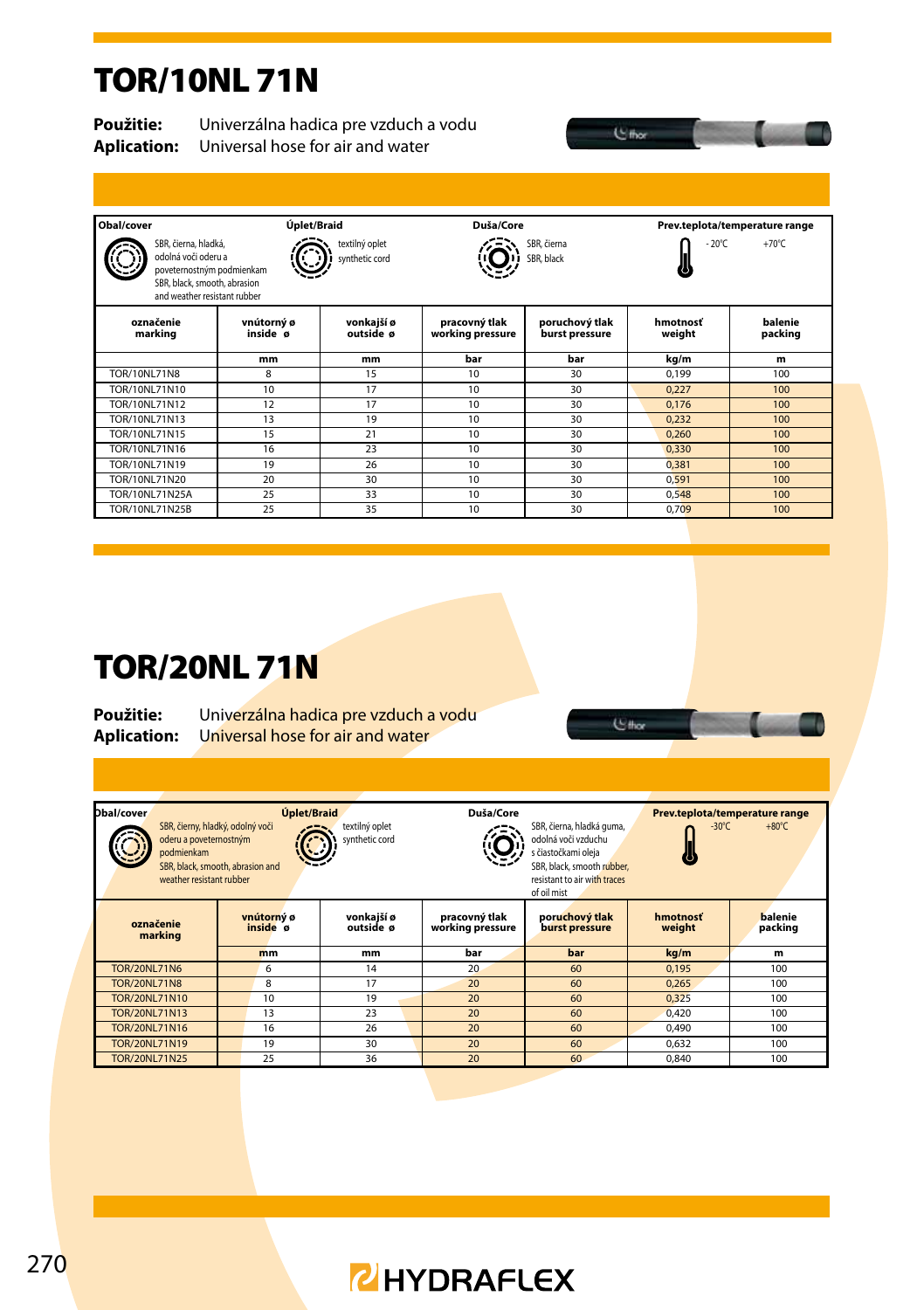#### TOR/10NL 71N

**Použitie:** Univerzálna hadica pre vzduch a vodu<br>**Aplication:** Universal hose for air and water **Aplication:** Universal hose for air and water

| Obal/cover                                                                                                                               | Úplet/Braid            |                                  | Duša/Core                         |                                  |                    | Prev.teplota/temperature range |
|------------------------------------------------------------------------------------------------------------------------------------------|------------------------|----------------------------------|-----------------------------------|----------------------------------|--------------------|--------------------------------|
| SBR, čierna, hladká,<br>odolná voči oderu a<br>poveternostným podmienkam<br>SBR, black, smooth, abrasion<br>and weather resistant rubber |                        | textilný oplet<br>synthetic cord |                                   | SBR, čierna<br>SBR, black        | $-20^{\circ}$ C    | $+70^{\circ}$ C                |
| označenie<br>marking                                                                                                                     | vnútorný ø<br>inside ø | vonkajší ø<br>outside ø          | pracovný tlak<br>working pressure | poruchový tlak<br>burst pressure | hmotnosť<br>weight | balenie<br>packing             |
|                                                                                                                                          | mm                     | mm                               | bar                               | bar                              | kg/m               | m                              |
| <b>TOR/10NL71N8</b>                                                                                                                      | 8                      | 15                               | 10                                | 30                               | 0.199              | 100                            |
| TOR/10NI 71N10                                                                                                                           | 10                     | 17                               | 10                                | 30                               | 0.227              | 100                            |
| TOR/10NL71N12                                                                                                                            | 12                     | 17                               | 10                                | 30                               | 0.176              | 100                            |
| TOR/10NI 71N13                                                                                                                           | 13                     | 19                               | 10                                | 30                               | 0.232              | 100                            |
| TOR/10NI 71N15                                                                                                                           | 15                     | 21                               | 10                                | 30                               | 0.260              | 100                            |
| TOR/10NL71N16                                                                                                                            | 16                     | 23                               | 10                                | 30                               | 0.330              | 100                            |
| TOR/10NL71N19                                                                                                                            | 19                     | 26                               | 10                                | 30                               | 0.381              | 100                            |
| TOR/10NL71N20                                                                                                                            | 20                     | 30                               | 10                                | 30                               | 0.591              | 100                            |
| TOR/10NL71N25A                                                                                                                           | 25                     | 33                               | 10                                | 30                               | 0.548              | 100                            |
| TOR/10NL71N25B                                                                                                                           | 25                     | 35                               | 10                                | 30                               | 0.709              | 100                            |
|                                                                                                                                          |                        |                                  |                                   |                                  |                    |                                |

 $C_{\text{flux}}$ 

**U**thor

n

#### TOR/20NL 71N

**Použitie:** Univerzálna hadica pre vzduch a vodu<br>**Aplication:** Universal hose for air and water **Aplication:** Universal hose for air and water

| Dbal/cover<br>oderu a poveternostným<br>podmienkam<br>weather resistant rubber | Úplet/Braid<br>SBR, čierny, hladký, odolný voči<br>SBR, black, smooth, abrasion and | textilný oplet<br>synthetic cord | Duša/Core                         | SBR, čierna, hladká guma,<br>odolná voči vzduchu<br>s čiastočkami oleja<br>SBR, black, smooth rubber,<br>resistant to air with traces<br>of oil mist |                    | Prev.teplota/temperature range<br>$+80^{\circ}$ C<br>$-30^{\circ}$ C |  |  |
|--------------------------------------------------------------------------------|-------------------------------------------------------------------------------------|----------------------------------|-----------------------------------|------------------------------------------------------------------------------------------------------------------------------------------------------|--------------------|----------------------------------------------------------------------|--|--|
| označenie<br>marking                                                           | vnútorný ø<br>inside ø                                                              | vonkaiší ø<br>outside ø          | pracovný tlak<br>working pressure | poruchový tlak<br>burst pressure                                                                                                                     | hmotnosť<br>weight | balenie<br>packing                                                   |  |  |
|                                                                                | mm                                                                                  | mm                               | bar                               | bar                                                                                                                                                  | kg/m               | m                                                                    |  |  |
| <b>TOR/20NL71N6</b>                                                            | 6                                                                                   | 14                               | 20                                | 60                                                                                                                                                   | 0.195              | 100                                                                  |  |  |
| <b>TOR/20NL71N8</b>                                                            | 8                                                                                   | 17                               | 20                                | 60                                                                                                                                                   | 0.265              | 100                                                                  |  |  |
| TOR/20NL71N10                                                                  | 10                                                                                  | 19                               | 20                                | 60                                                                                                                                                   | 0.325              | 100                                                                  |  |  |
| <b>TOR/20NL71N13</b>                                                           | 13                                                                                  | 23                               | 20                                | 60                                                                                                                                                   | 0.420              | 100                                                                  |  |  |
| <b>TOR/20NL71N16</b>                                                           | 16                                                                                  | 26                               | 20                                | 60                                                                                                                                                   | 0.490              | 100                                                                  |  |  |
| <b>TOR/20NL71N19</b>                                                           | 19                                                                                  | 30                               | 20                                | 60                                                                                                                                                   | 0.632              | 100                                                                  |  |  |
| <b>TOR/20NL71N25</b>                                                           | 25                                                                                  | 36                               | 20                                | 60                                                                                                                                                   | 0.840              | 100                                                                  |  |  |
|                                                                                |                                                                                     |                                  |                                   |                                                                                                                                                      |                    |                                                                      |  |  |

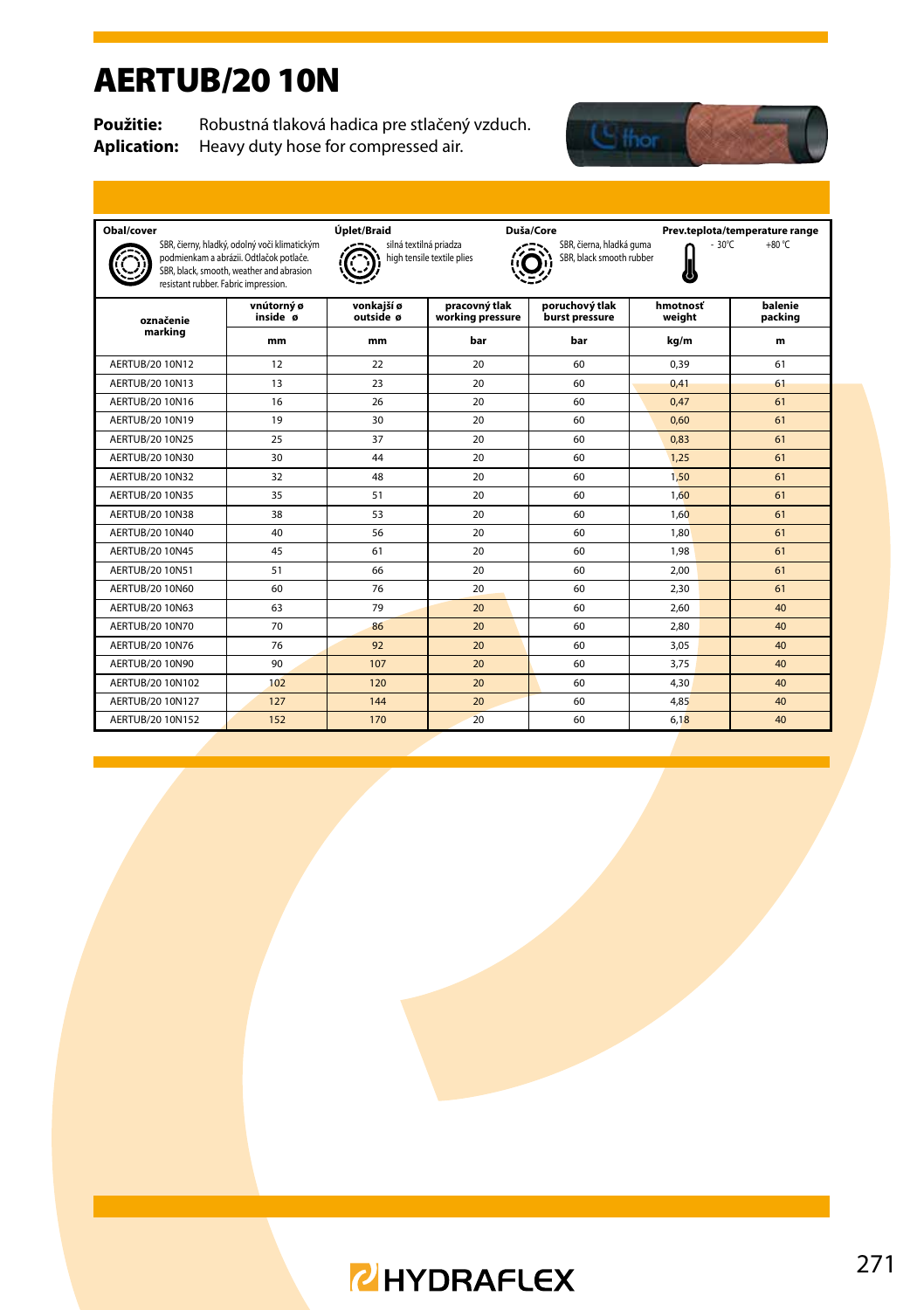#### AERTUB/20 10N

**Použitie:** Robustná tlaková hadica pre stlačený vzduch.<br>**Aplication:** Heavy duty hose for compressed air. Heavy duty hose for compressed air.



| Obal/cover<br>resistant rubber. Fabric impression. | SBR, čierny, hladký, odolný voči klimatickým<br>podmienkam a abrázii. Odtlačok potlače.<br>SBR, black, smooth, weather and abrasion | Úplet/Braid<br>Duša/Core<br>Prev.teplota/temperature range<br>silná textilná priadza<br>$+80 °C$<br>SBR, čierna, hladká guma<br>$-30^{\circ}$ C<br>high tensile textile plies<br>SBR, black smooth rubber |                                   |                                  |                    |                    |  |  |
|----------------------------------------------------|-------------------------------------------------------------------------------------------------------------------------------------|-----------------------------------------------------------------------------------------------------------------------------------------------------------------------------------------------------------|-----------------------------------|----------------------------------|--------------------|--------------------|--|--|
| označenie                                          | vnútorný ø<br>inside ø                                                                                                              | vonkaiší ø<br>outside ø                                                                                                                                                                                   | pracovný tlak<br>working pressure | poruchový tlak<br>burst pressure | hmotnosť<br>weight | balenie<br>packing |  |  |
| marking                                            | mm                                                                                                                                  | mm                                                                                                                                                                                                        | bar                               | bar                              | kg/m               | m                  |  |  |
| AERTUB/20 10N12                                    | 12                                                                                                                                  | 22                                                                                                                                                                                                        | 20                                | 60                               | 0.39               | 61                 |  |  |
| AFRTUB/20 10N13                                    | 13                                                                                                                                  | 23                                                                                                                                                                                                        | 20                                | 60                               | 0.41               | 61                 |  |  |
| AFRTUB/20 10N16                                    | 16                                                                                                                                  | 26                                                                                                                                                                                                        | 20                                | 60                               | 0.47               | 61                 |  |  |
| AERTUB/20 10N19                                    | 19                                                                                                                                  | 30                                                                                                                                                                                                        | 20                                | 60                               | 0.60               | 61                 |  |  |
| AERTUB/20 10N25                                    | 25                                                                                                                                  | 37                                                                                                                                                                                                        | 20                                | 60                               | 0.83               | 61                 |  |  |
| AFRTUB/20 10N30                                    | 30                                                                                                                                  | 44                                                                                                                                                                                                        | 20                                | 60                               | 1.25               | 61                 |  |  |
| AFRTUB/20 10N32                                    | 32                                                                                                                                  | 48                                                                                                                                                                                                        | 20                                | 60                               | 1,50               | 61                 |  |  |
| AFRTUB/20 10N35                                    | 35                                                                                                                                  | 51                                                                                                                                                                                                        | 20                                | 60                               | 1.60               | 61                 |  |  |
| AFRTUB/20 10N38                                    | 38                                                                                                                                  | 53                                                                                                                                                                                                        | 20                                | 60                               | 1.60               | 61                 |  |  |
| AFRTUB/20 10N40                                    | 40                                                                                                                                  | 56                                                                                                                                                                                                        | 20                                | 60                               | 1.80               | 61                 |  |  |
| AFRTUB/20 10N45                                    | 45                                                                                                                                  | 61                                                                                                                                                                                                        | 20                                | 60                               | 1.98               | 61                 |  |  |
| AERTUB/20 10N51                                    | 51                                                                                                                                  | 66                                                                                                                                                                                                        | 20                                | 60                               | 2.00               | 61                 |  |  |
| AFRTUB/20 10N60                                    | 60                                                                                                                                  | 76                                                                                                                                                                                                        | 20                                | 60                               | 2.30               | 61                 |  |  |
| AFRTUB/20 10N63                                    | 63                                                                                                                                  | 79                                                                                                                                                                                                        | 20                                | 60                               | 2.60               | 40                 |  |  |
| AERTUB/20 10N70                                    | 70                                                                                                                                  | 86                                                                                                                                                                                                        | 20                                | 60                               | 2.80               | 40                 |  |  |
| AFRTUB/20 10N76                                    | 76                                                                                                                                  | 92                                                                                                                                                                                                        | 20                                | 60                               | 3.05               | 40                 |  |  |
| AFRTUB/20 10N90                                    | 90                                                                                                                                  | 107                                                                                                                                                                                                       | 20                                | 60                               | 3.75               | 40                 |  |  |
| AERTUB/20 10N102                                   | 10 <sub>2</sub>                                                                                                                     | 120                                                                                                                                                                                                       | 20 <sub>2</sub>                   | 60                               | 4.30               | 40                 |  |  |
| AFRTUB/20 10N127                                   | 127                                                                                                                                 | 144                                                                                                                                                                                                       | 20                                | 60                               | 4.85               | 40                 |  |  |
| AERTUB/20 10N152                                   | 152                                                                                                                                 | 170                                                                                                                                                                                                       | 20                                | 60                               | 6,18               | 40                 |  |  |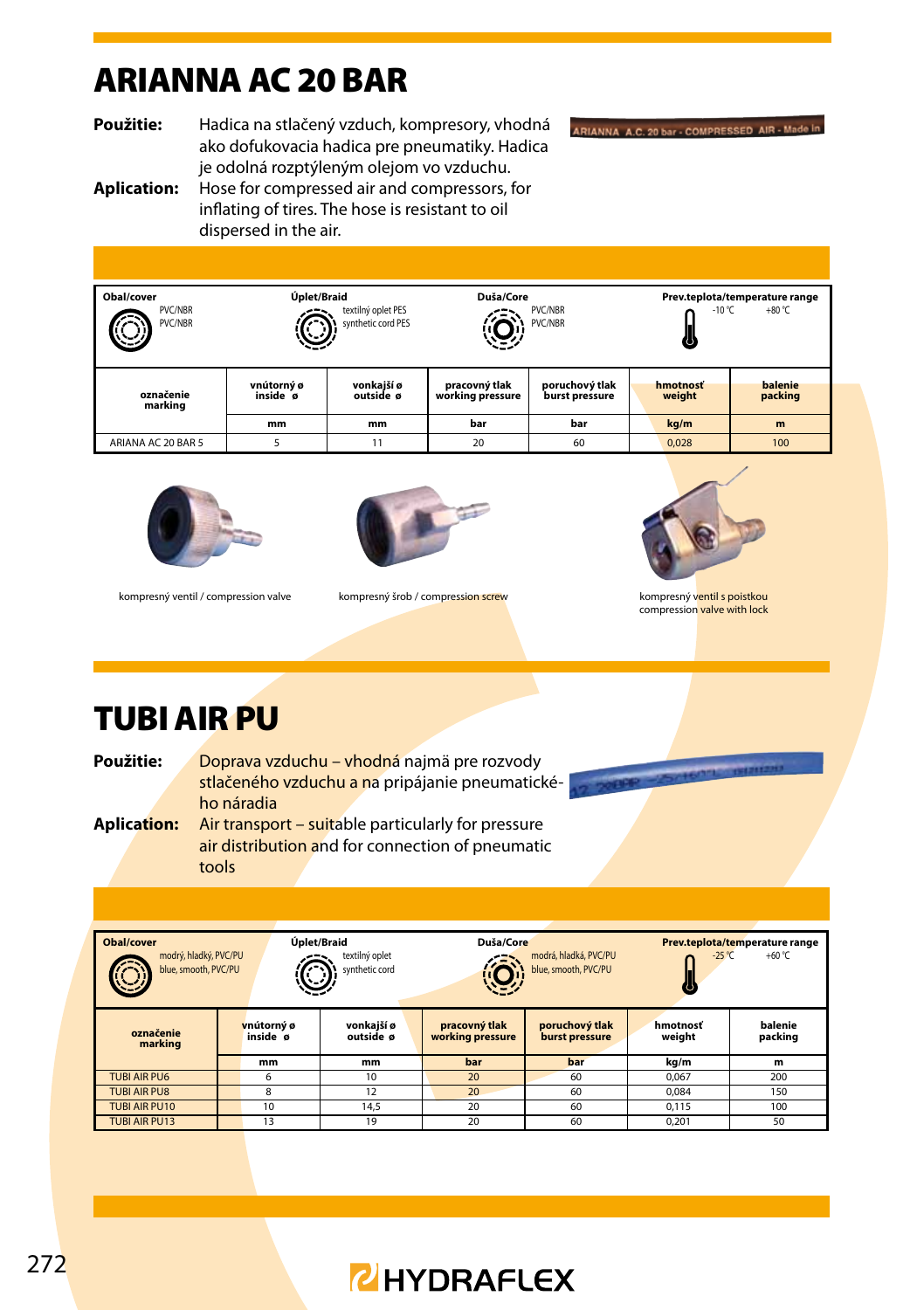## ARIANNA AC 20 BAR

**Použitie:** Hadica na stlačený vzduch, kompresory, vhodná ako dofukovacia hadica pre pneumatiky. Hadica je odolná rozptýleným olejom vo vzduchu.

ARIANNA A.C. 20 bar - COMPRESSED AIR - Made in

#### **Aplication:** Hose for compressed air and compressors, for inflating of tires. The hose is resistant to oil dispersed in the air.

| Obal/cover<br><b>PVC/NBR</b><br><b>PVC/NBR</b><br>82 | òш                     | Úplet/Braid<br>textilný oplet PES<br>synthetic cord PES |                                   | Duša/Core<br>PVC/NBR<br>PVC/NBR  | Prev.teplota/temperature range<br>$+80 °C$<br>$-10 °C$<br>c |                    |  |
|------------------------------------------------------|------------------------|---------------------------------------------------------|-----------------------------------|----------------------------------|-------------------------------------------------------------|--------------------|--|
| označenie<br>marking                                 | vnútorný ø<br>inside ø | vonkaiší ø<br>outside ø                                 | pracovný tlak<br>working pressure | poruchový tlak<br>burst pressure | hmotnosť<br>weight                                          | balenie<br>packing |  |
|                                                      | mm                     | mm                                                      | bar                               | bar                              | kg/m                                                        | m                  |  |
| ARIANA AC 20 BAR 5                                   | 5                      | 11                                                      | 20                                | 60                               | 0.028                                                       | 100                |  |





kompresný ventil / compression valve kompresný šrob / compression screw kompresný ventil s poistkou



compression valve with lock

## TUBI AIR PU

Použitie: **Doprava vzduchu – vhodná najmä pre rozvody** stlačeného vzduchu a na pripájanie pneumatické-

ho náradia **Aplication:** Air transport – suitable particularly for pressure air distribution and for connection of pneumatic tools

| <b>Obal/cover</b><br>Úplet/Braid<br>modrý, hladký, PVC/PU<br>blue, smooth, PVC/PU |                        |    | textilný oplet<br>synthetic cord |  | Duša/Core                                                                    | Prev.teplota/temperature range<br>$+60 °C$<br>$-25^{\circ}$ C |                    |                    |
|-----------------------------------------------------------------------------------|------------------------|----|----------------------------------|--|------------------------------------------------------------------------------|---------------------------------------------------------------|--------------------|--------------------|
| označenie<br>marking                                                              | vnútorný ø<br>inside ø |    | vonkaiší ø<br>outside ø          |  | pracovný tlak<br>poruchový tlak<br>working pressure<br><b>burst pressure</b> |                                                               | hmotnosť<br>weight | balenie<br>packing |
|                                                                                   |                        | mm | mm                               |  | bar                                                                          | bar                                                           | kg/m               | m                  |
| <b>TUBI AIR PU6</b>                                                               |                        | 6  | 10                               |  | 20                                                                           | 60                                                            | 0.067              | 200                |
| <b>TUBI AIR PU8</b>                                                               |                        | 8  | 12                               |  | 20                                                                           | 60                                                            | 0.084              | 150                |
| <b>TUBI AIR PU10</b>                                                              |                        | 10 | 14.5                             |  | 20                                                                           | 60                                                            | 0.115              | 100                |
| <b>TUBI AIR PU13</b>                                                              |                        | 13 | 19                               |  | 20<br>60                                                                     |                                                               | 0.201              | 50                 |

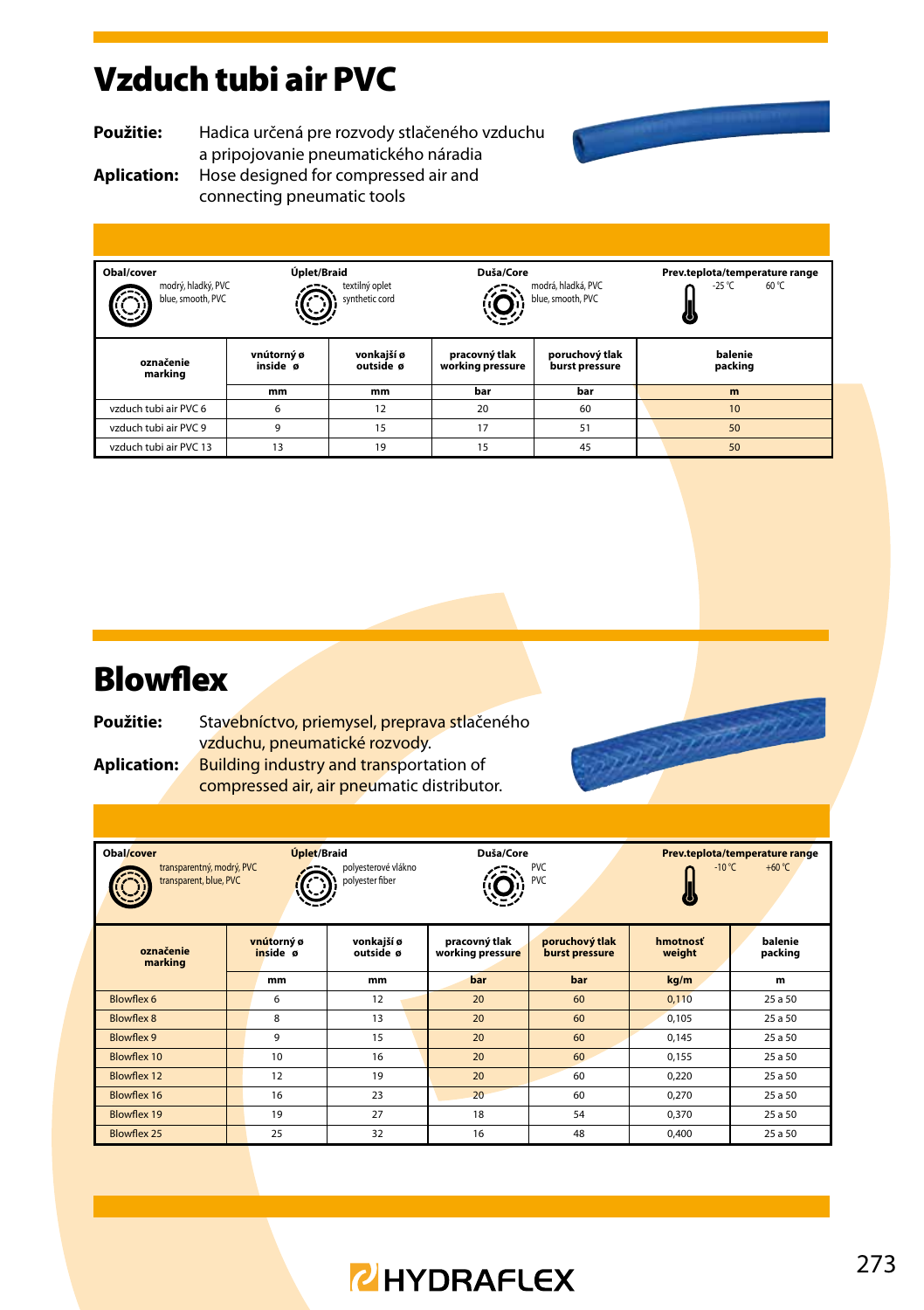#### Vzduch tubi air PVC

**Použitie:** Hadica určená pre rozvody stlačeného vzduchu a pripojovanie pneumatického náradia **Aplication:** Hose designed for compressed air and connecting pneumatic tools



Charles Charles

**Obal/cover Úplet/Braid Duša/Core Prev.teplota/temperature range**<br>Deserted and the settling only the settling of the settling of the settling of the settling of the settling of the settling of the settling of the se modrý, hladký, PVC textilný oplet modrá, hladká, PVC  $-25$  °C Ő, blue, smooth, PVC synthetic cord blue, smooth, PVC JJ **vnútorný ø vonkajší ø pracovný tlak poruchový tlak balenie označenie inside ø outside ø working pressure burst pressure packing marking mm mm bar bar m** vzduch tubi air PVC 6 6 12 20 60 10 vzduch tubi air PVC 9 9 9 15 17 17 51 50 vzduch tubi air PVC 13 13 19 15 45 50

#### **Blowflex**

| Použitie:   | Stavebníctvo, priemysel, preprava stlačeného |
|-------------|----------------------------------------------|
|             | vzduchu, pneumatické rozvody.                |
| Aplication: | Building industry and transportation of      |

compressed air, air pneumatic distributor.

| Úplet/Braid<br>Obal/cover<br>transparentný, modrý, PVC<br>polyesterové vlákno<br>transparent, blue, PVC<br>polvester fiber |                              |    |                         | Duša/Core | <b>PVC</b><br>PVC                 | Prev.teplota/temperature range<br>$-10 °C$<br>+60 $°C$ |                    |                    |
|----------------------------------------------------------------------------------------------------------------------------|------------------------------|----|-------------------------|-----------|-----------------------------------|--------------------------------------------------------|--------------------|--------------------|
| označenie<br>marking                                                                                                       | vnútorný ø<br>inside ø<br>mm |    | vonkajší ø<br>outside ø |           | pracovný tlak<br>working pressure | poruchový tlak<br>burst pressure                       | hmotnosť<br>weight | balenie<br>packing |
|                                                                                                                            |                              |    | mm                      |           | bar                               | bar                                                    | kg/m               | m                  |
| Blowflex 6                                                                                                                 |                              | 6  | 12                      |           | 20                                | 60                                                     | 0.110              | 25 a 50            |
| Blowflex 8                                                                                                                 |                              | 8  | 13                      |           | 20                                | 60                                                     | 0.105              | 25 a 50            |
| Blowflex 9                                                                                                                 |                              | 9  | 15                      |           | 20                                | 60                                                     | 0.145              | 25 a 50            |
| Blowflex 10                                                                                                                |                              | 10 | 16                      |           | 20                                | 60                                                     | 0.155              | 25 a 50            |
| Blowflex 12                                                                                                                |                              | 12 | 19                      |           | 20                                | 60                                                     | 0.220              | 25 a 50            |
| Blowflex 16                                                                                                                |                              | 16 | 23                      |           | 20                                | 60                                                     | 0.270              | 25 a 50            |
| Blowflex 19                                                                                                                |                              | 19 | 27                      |           | 18                                | 54                                                     | 0.370              | 25 a 50            |
| Blowflex 25                                                                                                                |                              | 25 | 32                      |           | 16                                | 48                                                     | 0.400              | 25 a 50            |

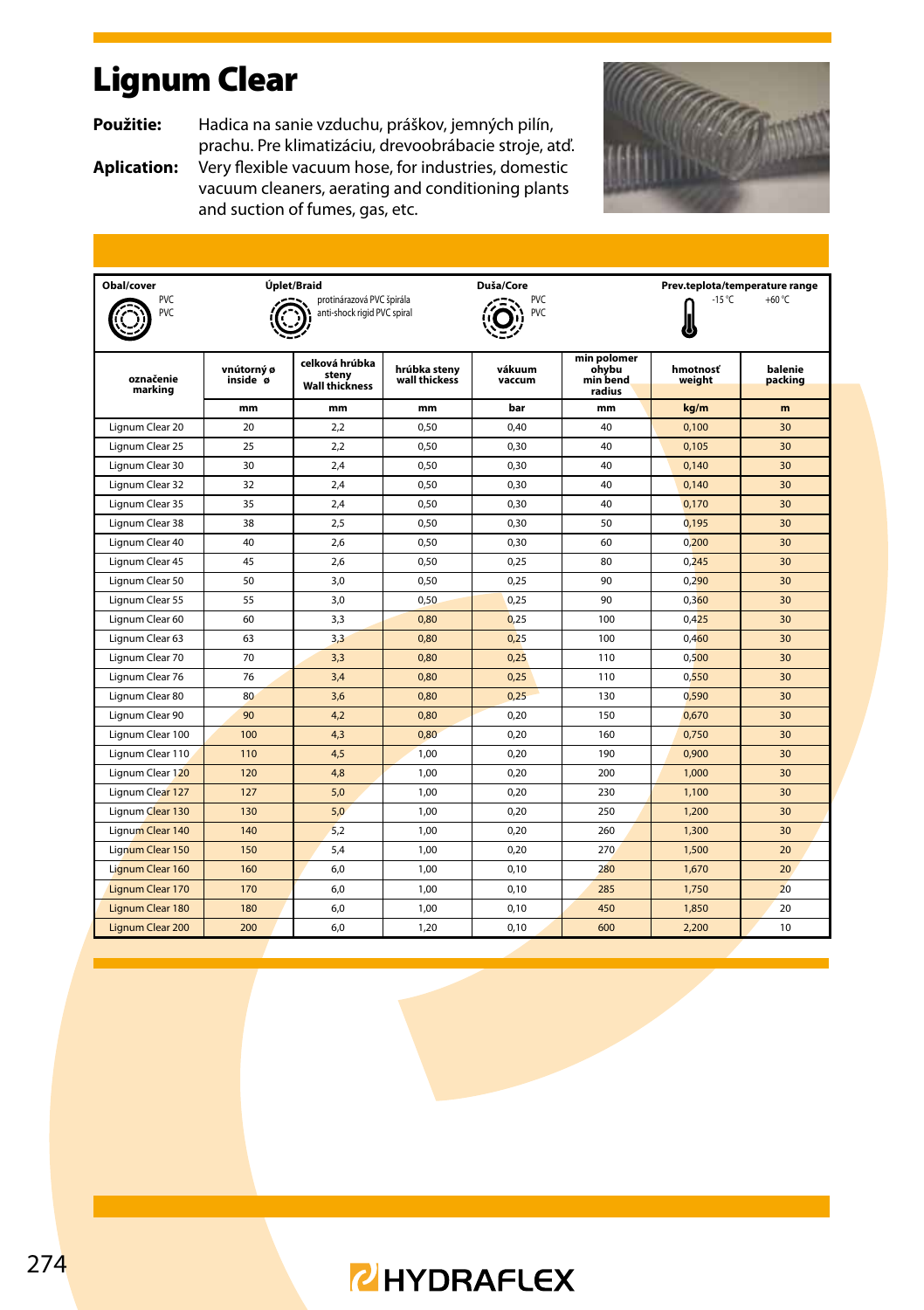## Lignum Clear

**Použitie:** Hadica na sanie vzduchu, práškov, jemných pilín,

prachu. Pre klimatizáciu, drevoobrábacie stroje, atď. **Aplication:** Very flexible vacuum hose, for industries, domestic vacuum cleaners, aerating and conditioning plants and suction of fumes, gas, etc.



| Obal/cover           |                        | Úplet/Braid                                                                       |      | Duša/Core                                 |                                            | Prev.teplota/temperature range |                    |  |  |
|----------------------|------------------------|-----------------------------------------------------------------------------------|------|-------------------------------------------|--------------------------------------------|--------------------------------|--------------------|--|--|
| PVC<br>PVC           |                        | protinárazová PVC špirála<br>anti-shock rigid PVC spiral                          |      | $-15^{\circ}$ C<br>+60 $°C$<br>PVC<br>PVC |                                            |                                |                    |  |  |
| označenie<br>marking | vnútorný ø<br>inside ø | celková hrúbka<br>hrúbka stenv<br>stenv<br>wall thickess<br><b>Wall thickness</b> |      | vákuum<br>vaccum                          | min polomer<br>ohvbu<br>min bend<br>radius | hmotnosť<br>weight             | balenie<br>packing |  |  |
|                      | mm                     | mm                                                                                | mm   | bar                                       | mm                                         | kg/m                           | m                  |  |  |
| Lignum Clear 20      | 20 <sub>0</sub>        | 2.2                                                                               | 0.50 | 0.40                                      | 40                                         | 0.100                          | 30                 |  |  |
| Lignum Clear 25      | 25                     | 2.2                                                                               | 0.50 | 0.30                                      | 40                                         | 0.105                          | 30                 |  |  |
| Lignum Clear 30      | 30                     | 2.4                                                                               | 0.50 | 0.30                                      | 40                                         | 0.140                          | 30 <sup>2</sup>    |  |  |
| Lignum Clear 32      | 32                     | 2,4                                                                               | 0,50 | 0,30                                      | 40                                         | 0.140                          | 30 <sup>2</sup>    |  |  |
| Lignum Clear 35      | 35                     | 2.4                                                                               | 0.50 | 0,30                                      | 40                                         | 0.170                          | 30                 |  |  |
| Lignum Clear 38      | 38                     | 2,5                                                                               | 0.50 | 0,30                                      | 50                                         | 0,195                          | 30                 |  |  |
| Lignum Clear 40      | 40                     | 2.6                                                                               | 0.50 | 0,30                                      | 60                                         | 0,200                          | 30                 |  |  |
| Lignum Clear 45      | 45                     | 2,6                                                                               | 0.50 | 0,25                                      | 80                                         | 0,245                          | 30                 |  |  |
| Lignum Clear 50      | 50                     | 3.0                                                                               | 0.50 | 0.25                                      | 90                                         | 0.290                          | 30 <sup>2</sup>    |  |  |
| Lignum Clear 55      | 55                     | 3.0                                                                               | 0.50 | 0.25                                      | 90                                         | 0.360                          | 30                 |  |  |
| Lignum Clear 60      | 60                     | 3.3                                                                               | 0.80 | 0.25                                      | 100                                        | 0.425                          | 30 <sup>2</sup>    |  |  |
| Lignum Clear 63      | 63                     | 3,3                                                                               | 0.80 | 0.25                                      | 100                                        | 0,460                          | 30 <sup>2</sup>    |  |  |
| Lignum Clear 70      | 70                     | 3,3                                                                               | 0,80 | 0,25                                      | 110                                        | 0,500                          | 30 <sup>2</sup>    |  |  |
| Lignum Clear 76      | 76                     | 3.4                                                                               | 0.80 | 0.25                                      | 110                                        | 0.550                          | 30 <sup>2</sup>    |  |  |
| Lignum Clear 80      | 80                     | 3,6                                                                               | 0,80 | 0,25                                      | 130                                        | 0,590                          | 30                 |  |  |
| Lignum Clear 90      | 90                     | 4,2                                                                               | 0.80 | 0.20                                      | 150                                        | 0.670                          | 30                 |  |  |
| Lignum Clear 100     | 100                    | 4,3                                                                               | 0.80 | 0,20                                      | 160                                        | 0,750                          | 30                 |  |  |
| Lignum Clear 110     | 110                    | 4,5                                                                               | 1.00 | 0.20                                      | 190                                        | 0.900                          | 30                 |  |  |
| Lignum Clear 120     | 120                    | 4,8                                                                               | 1,00 | 0,20                                      | 200                                        | 1,000                          | 30                 |  |  |
| Lignum Clear 127     | 127                    | 5.0                                                                               | 1.00 | 0.20                                      | 230                                        | 1,100                          | 30 <sup>2</sup>    |  |  |
| Lignum Clear 130     | 130                    | 5,0                                                                               | 1,00 | 0,20                                      | 250                                        | 1,200                          | 30                 |  |  |
| Lignum Clear 140     | 140                    | 5.2                                                                               | 1.00 | 0.20                                      | 260                                        | 1,300                          | 30 <sup>2</sup>    |  |  |
| Lignum Clear 150     | 150                    | 5.4                                                                               | 1.00 | 0,20                                      | 270                                        | 1,500                          | 20 <sup>2</sup>    |  |  |
| Lignum Clear 160     | 160                    | 6.0                                                                               | 1.00 | 0.10                                      | 280                                        | 1.670                          | 20                 |  |  |
| Lignum Clear 170     | 170                    | 6.0                                                                               | 1.00 | 0.10                                      | 285                                        | 1,750                          | 20 <sup>2</sup>    |  |  |
| Lignum Clear 180     | 180                    | 6,0                                                                               | 1,00 | 0,10                                      | 450                                        | 1,850                          | 20 <sup>2</sup>    |  |  |
| Lignum Clear 200     | 200                    | 6.0                                                                               | 1,20 | 0.10                                      | 600                                        | 2.200                          | 10 <sup>1</sup>    |  |  |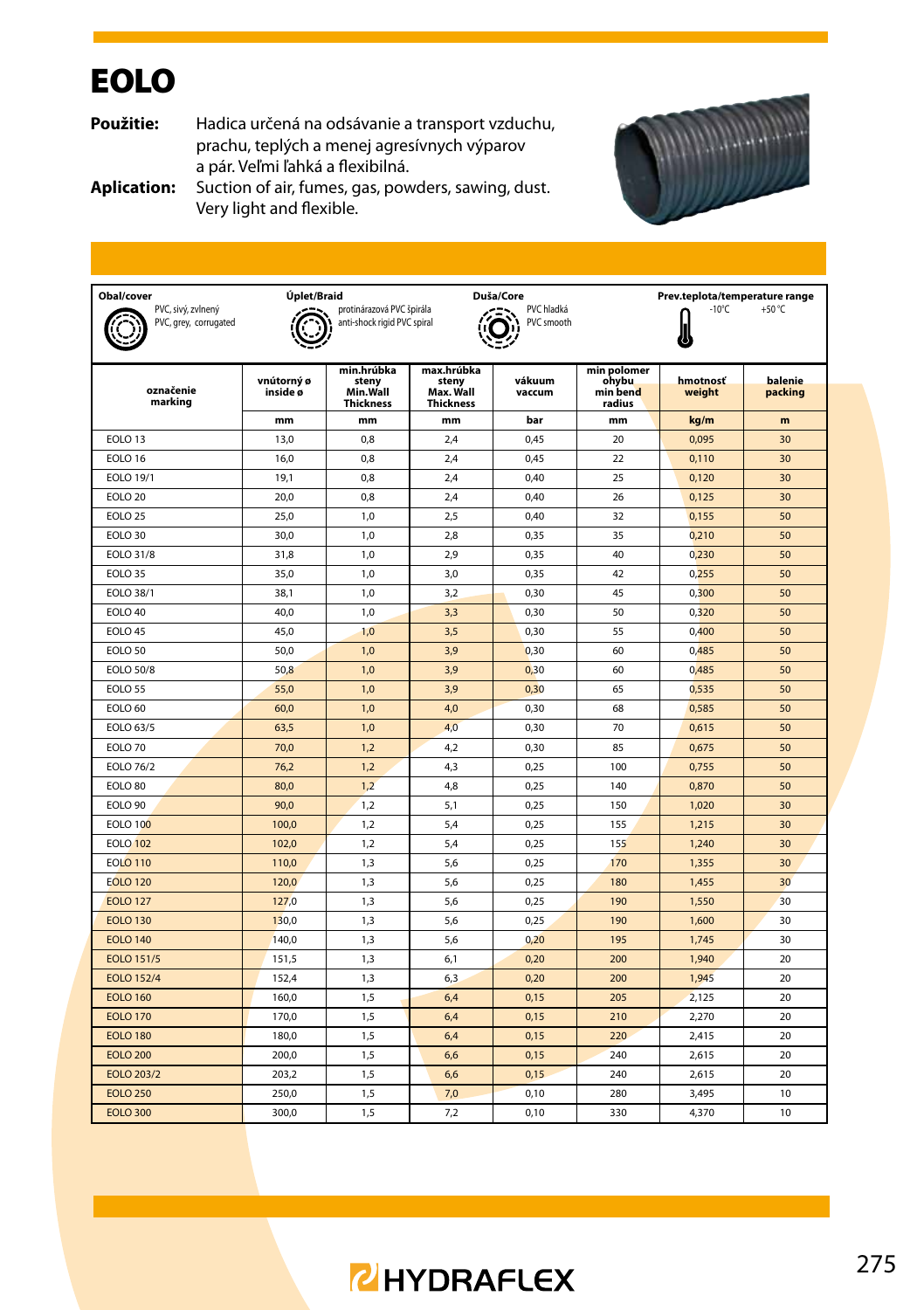## **EOLO**

**Použitie:** Hadica určená na odsávanie a transport vzduchu, prachu, teplých a menej agresívnych výparov a pár. Veľmi ľahká a flexibilná.



**Aplication:** Suction of air, fumes, gas, powders, sawing, dust. Very light and flexible.

| Obal/cover<br>PVC, sivý, zvlnený<br>PVC, grey, corrugated | Úplet/Braid            | protinárazová PVC špirála<br>anti-shock rigid PVC spiral |                                                      | Duša/Core<br>PVC hladká<br>PVC smooth | Prev.teplota/temperature range<br>$-10^{\circ}$ C<br>+50 $°C$ |                    |                    |  |  |
|-----------------------------------------------------------|------------------------|----------------------------------------------------------|------------------------------------------------------|---------------------------------------|---------------------------------------------------------------|--------------------|--------------------|--|--|
| označenie<br>marking                                      | vnútorný ø<br>inside ø | min.hrúbka<br>steny<br>Min.Wall<br><b>Thickness</b>      | max.hrúbka<br>steny<br>Max. Wall<br><b>Thickness</b> | vákuum<br>vaccum                      | min polomer<br>ohybu<br>min bend<br>radius                    | hmotnosť<br>weight | balenie<br>packing |  |  |
|                                                           | mm                     | mm                                                       | mm                                                   | bar                                   | mm                                                            | kg/m               | m                  |  |  |
| EOLO <sub>13</sub>                                        | 13,0                   | 0,8                                                      | 2,4                                                  | 0,45                                  | 20                                                            | 0,095              | 30                 |  |  |
| EOLO 16                                                   | 16,0                   | 0,8                                                      | 2,4                                                  | 0,45                                  | 22                                                            | 0,110              | 30                 |  |  |
| <b>EOLO 19/1</b>                                          | 19,1                   | 0,8                                                      | 2,4                                                  | 0,40                                  | 25                                                            | 0,120              | 30                 |  |  |
| EOLO <sub>20</sub>                                        | 20,0                   | 0.8                                                      | 2,4                                                  | 0,40                                  | 26                                                            | 0,125              | 30                 |  |  |
| <b>EOLO 25</b>                                            | 25.0                   | 1,0                                                      | 2,5                                                  | 0.40                                  | 32                                                            | 0,155              | 50                 |  |  |
| EOLO 30                                                   | 30,0                   | 1,0                                                      | 2,8                                                  | 0,35                                  | 35                                                            | 0,210              | 50                 |  |  |
| <b>EOLO 31/8</b>                                          | 31,8                   | 1,0                                                      | 2,9                                                  | 0,35                                  | 40                                                            | 0,230              | 50                 |  |  |
| EOLO <sub>35</sub>                                        | 35,0                   | 1,0                                                      | 3,0                                                  | 0,35                                  | 42                                                            | 0,255              | 50                 |  |  |
| <b>EOLO 38/1</b>                                          | 38,1                   | 1,0                                                      | 3,2                                                  | 0,30                                  | 45                                                            | 0,300              | 50                 |  |  |
| EOLO 40                                                   | 40,0                   | 1,0                                                      | 3,3                                                  | 0,30                                  | 50                                                            | 0,320              | 50                 |  |  |
| EOLO 45                                                   | 45,0                   | 1,0                                                      | 3,5                                                  | 0,30                                  | 55                                                            | 0,400              | 50                 |  |  |
| EOLO <sub>50</sub>                                        | 50,0                   | 1,0                                                      | 3,9                                                  | 0,30                                  | 60                                                            | 0,485              | 50                 |  |  |
| <b>EOLO 50/8</b>                                          | 50,8                   | 1,0                                                      | 3,9                                                  | 0,30                                  | 60                                                            | 0,485              | 50                 |  |  |
| <b>EOLO 55</b>                                            | 55,0                   | 1,0                                                      | 3,9                                                  | 0,30                                  | 65                                                            | 0,535              | 50                 |  |  |
| <b>EOLO 60</b>                                            | 60,0                   | 1,0                                                      | 4,0                                                  | 0,30                                  | 68                                                            | 0,585              | 50                 |  |  |
| EOLO 63/5                                                 | 63,5                   | 1,0                                                      | 4,0                                                  | 0,30                                  | 70                                                            | 0,615              | 50                 |  |  |
| EOLO 70                                                   | 70,0                   | 1,2                                                      | 4,2                                                  | 0,30                                  | 85                                                            | 0,675              | 50                 |  |  |
| <b>EOLO 76/2</b>                                          | 76,2                   | 1,2                                                      | 4,3                                                  | 0,25                                  | 100                                                           | 0,755              | 50                 |  |  |
| EOLO 80                                                   | 80,0                   | 1,2                                                      | 4,8                                                  | 0,25                                  | 140                                                           | 0,870              | 50                 |  |  |
| EOLO 90                                                   | 90.0                   | 1.2                                                      | 5,1                                                  | 0.25                                  | 150                                                           | 1.020              | 30                 |  |  |
| <b>EOLO 100</b>                                           | 100,0                  | 1.2                                                      | 5,4                                                  | 0.25                                  | 155                                                           | 1.215              | 30                 |  |  |
| <b>EOLO 102</b>                                           | 102,0                  | 1,2                                                      | 5,4                                                  | 0,25                                  | 155                                                           | 1,240              | 30                 |  |  |
| <b>EOLO 110</b>                                           | 110,0                  | 1,3                                                      | 5,6                                                  | 0,25                                  | 170                                                           | 1,355              | 30                 |  |  |
| <b>EOLO 120</b>                                           | 120,0                  | 1,3                                                      | 5,6                                                  | 0,25                                  | 180                                                           | 1,455              | 30                 |  |  |
| <b>EOLO 127</b>                                           | 127,0                  | 1,3                                                      | 5,6                                                  | 0,25                                  | 190                                                           | 1,550              | 30                 |  |  |
| <b>EOLO 130</b>                                           | 130,0                  | 1,3                                                      | 5,6                                                  | 0,25                                  | 190                                                           | 1,600              | 30                 |  |  |
| <b>EOLO 140</b>                                           | 140,0                  | 1,3                                                      | 5,6                                                  | 0,20                                  | 195                                                           | 1,745              | 30                 |  |  |
| EOLO 151/5                                                | 151,5                  | 1,3                                                      | 6,1                                                  | 0,20                                  | 200                                                           | 1,940              | 20                 |  |  |
| <b>EOLO 152/4</b>                                         | 152,4                  | 1,3                                                      | 6,3                                                  | 0,20                                  | 200                                                           | 1,945              | 20                 |  |  |
| <b>EOLO 160</b>                                           | 160,0                  | 1,5                                                      | 6,4                                                  | 0,15                                  | 205                                                           | 2,125              | 20                 |  |  |
| <b>EOLO 170</b>                                           | 170,0                  | 1,5                                                      | 6,4                                                  | 0,15                                  | 210                                                           | 2,270              | 20                 |  |  |
| <b>EOLO 180</b>                                           | 180,0                  | 1,5                                                      | 6,4                                                  | 0,15                                  | 220                                                           | 2,415              | 20                 |  |  |
| <b>EOLO 200</b>                                           | 200,0                  | 1,5                                                      | 6,6                                                  | 0,15                                  | 240                                                           | 2,615              | 20                 |  |  |
| EOLO 203/2                                                | 203,2                  | 1,5                                                      | 6,6                                                  | 0,15                                  | 240                                                           | 2,615              | 20                 |  |  |
| <b>EOLO 250</b>                                           | 250,0                  | 1,5                                                      | 7,0                                                  | 0.10                                  | 280                                                           | 3,495              | 10                 |  |  |
| <b>EOLO 300</b>                                           | 300,0                  | 1,5                                                      | 7,2                                                  | 0,10                                  | 330                                                           | 4,370              | 10                 |  |  |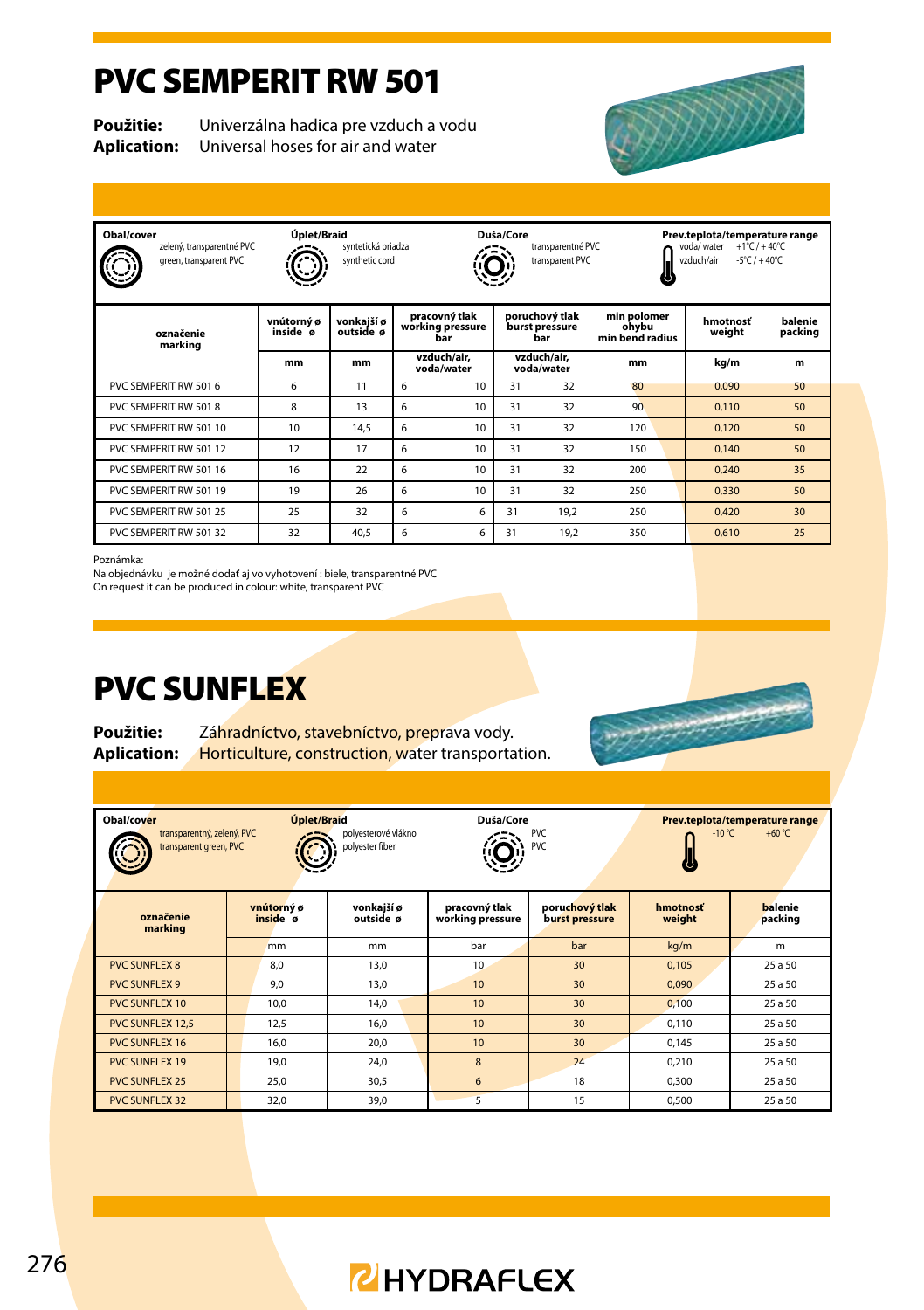#### PVC SEMPERIT RW 501

**Použitie:** Univerzálna hadica pre vzduch a vodu **Aplication:** Universal hoses for air and water



| Obal/cover<br>zelený, transparentné PVC<br>green, transparent PVC | Úplet/Braid            | Duša/Core<br>syntetická priadza<br>transparentné PVC<br>synthetic cord<br>transparent PVC |                                          |                                                        |                                         |      | Prev.teplota/temperature range<br>$+1^{\circ}$ C / + 40°C<br>voda/ water<br>$-5^{\circ}$ C / $+40^{\circ}$ C<br>vzduch/air |                    |                    |  |
|-------------------------------------------------------------------|------------------------|-------------------------------------------------------------------------------------------|------------------------------------------|--------------------------------------------------------|-----------------------------------------|------|----------------------------------------------------------------------------------------------------------------------------|--------------------|--------------------|--|
| označenie<br>marking                                              | vnútorný ø<br>inside ø | vonkajší ø<br>outside ø                                                                   | pracovný tlak<br>working pressure<br>bar |                                                        | poruchový tlak<br>burst pressure<br>bar |      | min polomer<br>ohvbu<br>min bend radius                                                                                    | hmotnosť<br>weight | balenie<br>packing |  |
|                                                                   | mm                     | mm                                                                                        |                                          | vzduch/air.<br>vzduch/air.<br>voda/water<br>voda/water |                                         | mm   | kg/m                                                                                                                       | m                  |                    |  |
| PVC SEMPERIT RW 501 6                                             | 6                      | 11                                                                                        | 6                                        | 10                                                     | 31                                      | 32   | 80                                                                                                                         | 0.090              | 50                 |  |
| PVC SEMPERIT RW 501 8                                             | 8                      | 13                                                                                        | 6                                        | 10                                                     | 31                                      | 32   | 90                                                                                                                         | 0.110              | 50                 |  |
| PVC SEMPERIT RW 501 10                                            | 10                     | 14.5                                                                                      | 6                                        | 10                                                     | 31                                      | 32   | 120                                                                                                                        | 0.120              | 50                 |  |
| PVC SEMPERIT RW 501 12                                            | 12                     | 17                                                                                        | 6                                        | 10                                                     | 31                                      | 32   | 150                                                                                                                        | 0.140              | 50                 |  |
| PVC SEMPERIT RW 501 16                                            | 16                     | 22                                                                                        | 6                                        | 10                                                     | 31                                      | 32   | 200                                                                                                                        | 0.240              | 35                 |  |
| PVC SEMPERIT RW 501 19                                            | 19                     | 26                                                                                        | 6                                        | 10                                                     | 31                                      | 32   | 250                                                                                                                        | 0.330              | 50                 |  |
| PVC SEMPERIT RW 501 25                                            | 25                     | 32                                                                                        | 6                                        | 6                                                      | 31                                      | 19.2 | 250                                                                                                                        | 0.420              | 30                 |  |
| PVC SEMPERIT RW 501 32                                            | 32                     | 40.5                                                                                      | 6                                        | 6                                                      | 31                                      | 19.2 | 350                                                                                                                        | 0.610              | 25                 |  |

Poznámka:

Na objednávku je možné dodať aj vo vyhotovení : biele, transparentné PVC On request it can be produced in colour: white, transparent PVC

PVC SUNFLEX

**Použitie:** Záhradníctvo, stavebníctvo, preprava vody. **Aplication:** Horticulture, construction, water transportation.

| Úplet/Braid<br>Obal/cover<br>transparentný, zelený, PVC<br>transparent green, PVC |  |                        | polyesterové vlákno<br>polyester fiber | Duša/Core                         | <b>PVC</b><br><b>PVC</b>         | $-10^{\circ}$ C    | Prev.teplota/temperature range<br>$+60 °C$ |
|-----------------------------------------------------------------------------------|--|------------------------|----------------------------------------|-----------------------------------|----------------------------------|--------------------|--------------------------------------------|
| označenie<br>marking                                                              |  | vnútorný ø<br>inside ø | vonkaiší ø<br>outside ø                | pracovný tlak<br>working pressure | poruchový tlak<br>burst pressure | hmotnosť<br>weight | balenie<br>packing                         |
|                                                                                   |  | mm                     | mm                                     | bar                               | bar                              | kg/m               | m                                          |
| <b>PVC SUNFLEX 8</b>                                                              |  | 8,0                    | 13,0                                   | 10                                | 30                               | 0.105              | 25 a 50                                    |
| <b>PVC SUNFLEX 9</b>                                                              |  | 9,0                    | 13,0                                   | 10                                | 30                               | 0.090              | 25 a 50                                    |
| <b>PVC SUNFLEX 10</b>                                                             |  | 10.0                   | 14.0                                   | 10                                | 30                               | 0.100              | 25 a 50                                    |
| <b>PVC SUNFLEX 12,5</b>                                                           |  | 12,5                   | 16,0                                   | 10                                | 30                               | 0.110              | 25 a 50                                    |
| <b>PVC SUNFLEX 16</b>                                                             |  | 16.0                   | 20.0                                   | 10                                | 30                               | 0.145              | 25 a 50                                    |
| <b>PVC SUNFLEX 19</b>                                                             |  | 19.0                   | 24.0                                   | $\mathbf{8}$                      | 24                               | 0.210              | 25 a 50                                    |
| <b>PVC SUNFLEX 25</b>                                                             |  | 25.0                   | 30,5                                   | 6                                 | 18                               | 0.300              | 25 a 50                                    |
| <b>PVC SUNFLEX 32</b>                                                             |  | 32,0                   | 39,0                                   | 5                                 | 15                               | 0,500              | 25 a 50                                    |

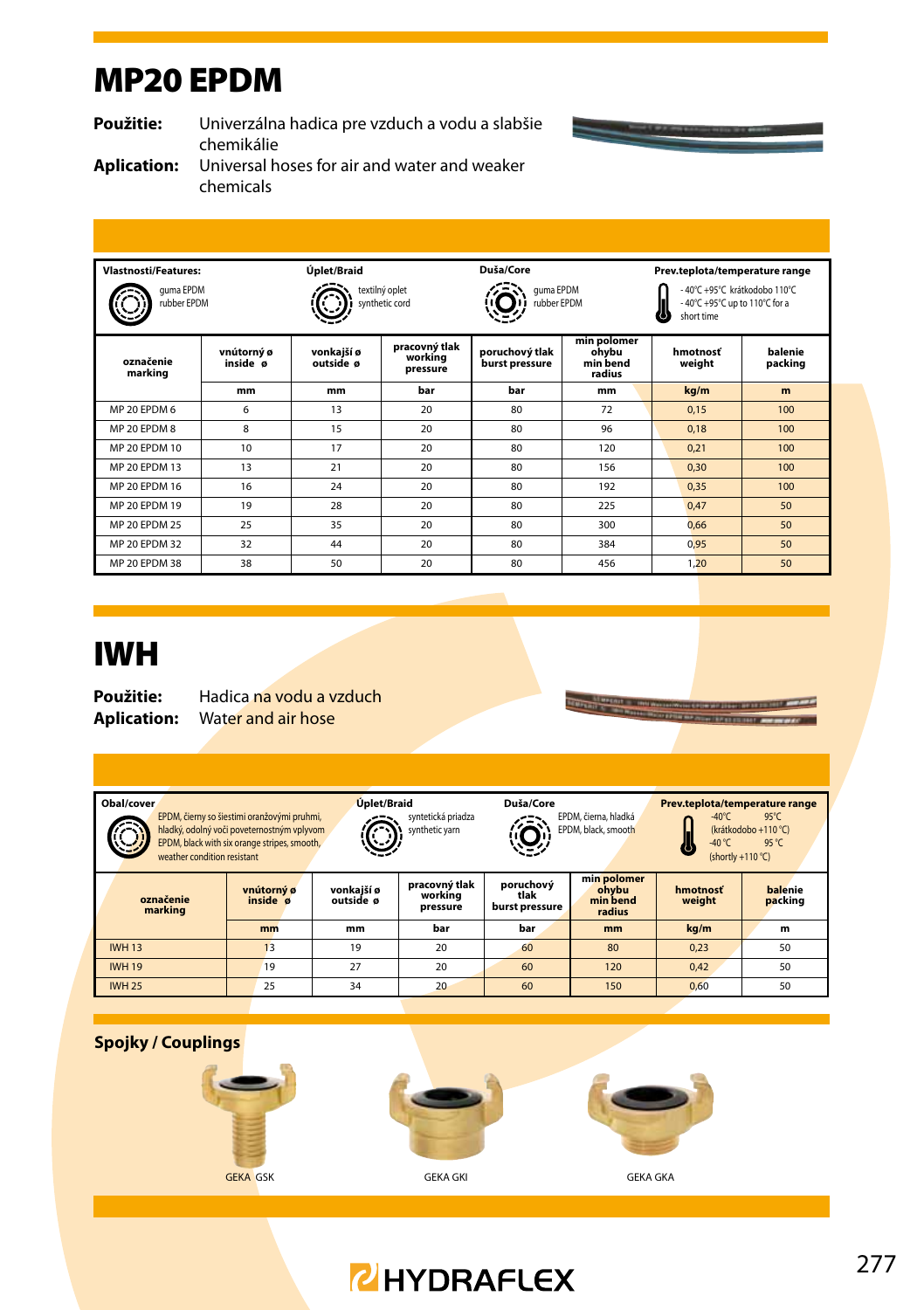#### MP20 EPDM

**Použitie:** Univerzálna hadica pre vzduch a vodu a slabšie chemikálie

 $\overline{\phantom{0}}$ 

**Aplication:** Universal hoses for air and water and weaker chemicals

| <b>Vlastnosti/Features:</b><br>quma EPDM<br>rubber EPDM |                        | Úplet/Braid<br>textilný oplet<br>synthetic cord |                                      | Duša/Core<br>guma EPDM<br>rubber EPDM |                                            | Prev.teplota/temperature range<br>-40°C +95°C krátkodobo 110°C<br>-40°C +95°C up to 110°C for a<br>short time |                    |  |
|---------------------------------------------------------|------------------------|-------------------------------------------------|--------------------------------------|---------------------------------------|--------------------------------------------|---------------------------------------------------------------------------------------------------------------|--------------------|--|
| označenie<br>marking                                    | vnútorný ø<br>inside ø | vonkajší ø<br>outside ø                         | pracovný tlak<br>working<br>pressure | poruchový tlak<br>burst pressure      | min polomer<br>ohybu<br>min bend<br>radius | hmotnosť<br>weight                                                                                            | balenie<br>packing |  |
|                                                         | mm                     | mm                                              | bar                                  | bar                                   | mm                                         | kg/m                                                                                                          | m                  |  |
| MP 20 FPDM 6                                            | 6                      | 13                                              | 20 <sup>2</sup>                      | 80                                    | 72                                         | 0.15                                                                                                          | 100                |  |
| MP 20 FPDM 8                                            | 8                      | 15                                              | 20                                   | 80                                    | 96                                         | 0.18                                                                                                          | 100                |  |
| MP 20 FPDM 10                                           | 10 <sup>1</sup>        | 17                                              | 20                                   | 80                                    | 120                                        | 0.21                                                                                                          | 100                |  |
| MP 20 FPDM 13                                           | 13                     | 21                                              | 20                                   | 80                                    | 156                                        | 0.30                                                                                                          | 100                |  |
| MP 20 EPDM 16                                           | 16                     | 24                                              | 20                                   | 80                                    | 192                                        | 0.35                                                                                                          | 100                |  |
| MP 20 FPDM 19                                           | 19                     | 28                                              | 20                                   | 80                                    | 225                                        | 0.47                                                                                                          | 50                 |  |
| MP 20 FPDM 25                                           | 25                     | 35                                              | 20                                   | 80                                    | 300                                        | 0.66                                                                                                          | 50                 |  |
| MP 20 EPDM 32                                           | 32                     | 44                                              | 20                                   | 80                                    | 384                                        | 0.95                                                                                                          | 50                 |  |
| MP 20 EPDM 38                                           | 38                     | 50                                              | 20                                   | 80                                    | 456                                        | 1,20                                                                                                          | 50                 |  |

#### IWH

**Použitie:** Hadica na vodu a vzduch **Aplication:** Water and air hose

| Obal/cover<br>weather condition resistant | EPDM, čierny so šiestimi oranžovými pruhmi,<br>hladký, odolný voči poveternostným vplyvom<br>EPDM, black with six orange stripes, smooth, |          | Úplet/Braid<br>syntetická priadza<br>synthetic yarn             |     | EPDM, čierna, hladká<br>EPDM, black, smooth | Prev.teplota/temperature range<br>$-40^{\circ}$ C<br>$95^{\circ}$ C<br>(krátkodobo +110 °C)<br>$-40 °C$<br>95 °C<br>(shortly +110 °C) |                    |  |
|-------------------------------------------|-------------------------------------------------------------------------------------------------------------------------------------------|----------|-----------------------------------------------------------------|-----|---------------------------------------------|---------------------------------------------------------------------------------------------------------------------------------------|--------------------|--|
| označenie<br>marking                      | vnútorný ø<br>inside ø                                                                                                                    |          | pracovný tlak<br>vonkaiší ø<br>working<br>outside ø<br>pressure |     | min polomer<br>ohvbu<br>min bend<br>radius  | hmotnosť<br>weight                                                                                                                    | balenie<br>packing |  |
|                                           | mm                                                                                                                                        | mm       | bar                                                             | bar | <sub>mm</sub>                               | kg/m                                                                                                                                  | m                  |  |
| <b>IWH 13</b>                             | 13                                                                                                                                        | 19       | 20                                                              | 60  | 80                                          | 0.23                                                                                                                                  | 50                 |  |
| <b>IWH 19</b>                             | 19                                                                                                                                        | 27<br>20 |                                                                 | 60  | 120                                         | 0.42                                                                                                                                  | 50                 |  |
| <b>IWH 25</b>                             | 25                                                                                                                                        | 34       | 20                                                              | 60  | 150                                         | 0.60                                                                                                                                  | 50                 |  |





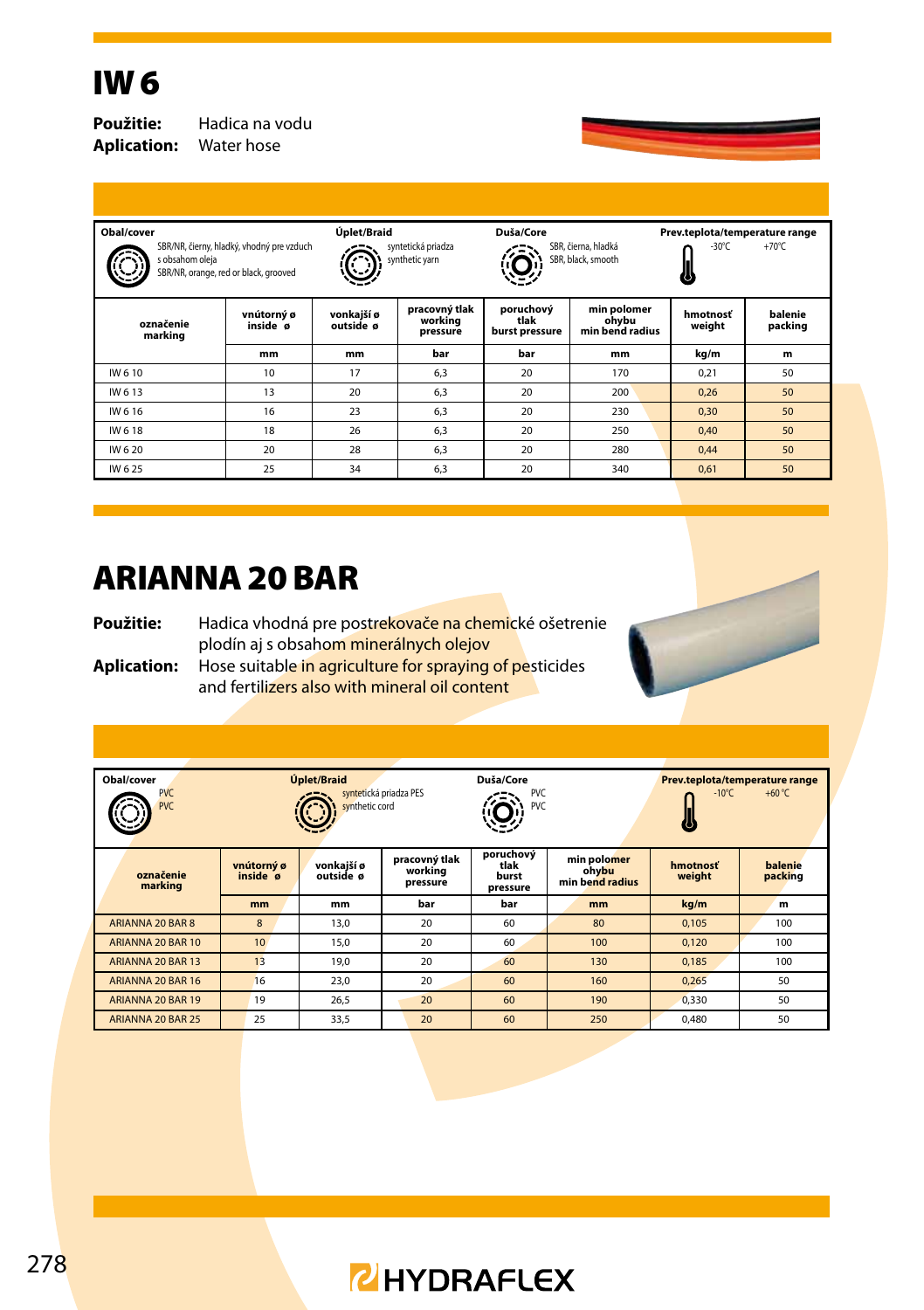### IW 6

**Aplication:** Water hose

**Použitie:** Hadica na vodu

| Obal/cover<br>SBR/NR, čierny, hladký, vhodný pre vzduch<br>s obsahom oleja<br>SBR/NR, orange, red or black, grooved |                        | Úplet/Braid<br>syntetická priadza<br>synthetic yarn |                                      | Duša/Core                           | SBR, čierna, hladká<br>SBR, black, smooth | Prev.teplota/temperature range<br>$-30^{\circ}$ C<br>$+70^{\circ}$ C<br>$\circ$ |                    |  |
|---------------------------------------------------------------------------------------------------------------------|------------------------|-----------------------------------------------------|--------------------------------------|-------------------------------------|-------------------------------------------|---------------------------------------------------------------------------------|--------------------|--|
| označenie<br>marking                                                                                                | vnútorný ø<br>inside ø |                                                     | pracovný tlak<br>working<br>pressure | poruchový<br>tlak<br>burst pressure | min polomer<br>ohybu<br>min bend radius   | hmotnosť<br>weight                                                              | balenie<br>packing |  |
|                                                                                                                     | mm                     | mm                                                  | bar                                  | bar                                 | mm                                        | kg/m                                                                            | m                  |  |
| IW 610                                                                                                              | 10                     | 17                                                  | 6,3                                  | 20                                  | 170                                       | 0.21                                                                            | 50                 |  |
| IW 613                                                                                                              | 13                     | 20                                                  | 6.3                                  | 20                                  | 200                                       | 0.26                                                                            | 50                 |  |
| IW 616                                                                                                              | 16                     | 23                                                  | 6,3                                  | 20                                  | 230                                       | 0.30                                                                            | 50                 |  |
| IW 618                                                                                                              | 18<br>26               |                                                     | 6,3                                  | 20                                  | 250                                       | 0.40                                                                            | 50                 |  |
| IW 6 20                                                                                                             | 20                     |                                                     | 6.3                                  | 20                                  | 280                                       | 0.44                                                                            | 50                 |  |
| IW 625                                                                                                              | 25                     |                                                     | 6,3                                  | 20                                  | 340                                       | 0,61                                                                            | 50                 |  |
|                                                                                                                     |                        |                                                     |                                      |                                     |                                           |                                                                                 |                    |  |

#### ARIANNA 20 BAR

Použitie: Hadica vhodná pre postrekovače na chemické ošetrenie plodín aj s obsahom minerálnych olejov **Aplication:** Hose suitable in agriculture for spraying of pesticides and fertilizers also with mineral oil content



| Obal/cover<br><b>PVC</b><br><b>PVC</b> | Úplet/Braid<br>syntetická priadza PES<br>synthetic cord |                         |                                      | Duša/Core<br><b>PVC</b><br><b>PVC</b>  |                                         | Prev.teplota/temperature range<br>$-10^{\circ}$ C<br>$+60 °C$ |                    |  |
|----------------------------------------|---------------------------------------------------------|-------------------------|--------------------------------------|----------------------------------------|-----------------------------------------|---------------------------------------------------------------|--------------------|--|
| označenie<br>marking                   | vnútorný ø<br>inside ø                                  | vonkajší ø<br>outside ø | pracovný tlak<br>working<br>pressure | poruchový<br>tlak<br>burst<br>pressure | min polomer<br>ohybu<br>min bend radius | hmotnosť<br>weight                                            | balenie<br>packing |  |
|                                        | mm                                                      | mm                      | bar                                  | bar                                    | mm                                      | kg/m                                                          | m                  |  |
| ARIANNA 20 BAR 8                       | 8                                                       | 13,0                    | 20                                   | 60                                     | 80                                      | 0.105                                                         | 100                |  |
| ARIANNA 20 BAR 10                      | 10                                                      | 15,0                    | 20                                   | 60                                     | 100                                     | 0.120                                                         | 100                |  |
| ARIANNA 20 BAR 13                      | 13                                                      | 19.0                    | 20                                   | 60                                     | 130                                     | 0.185                                                         | 100                |  |
| ARIANNA 20 BAR 16                      | 16                                                      | 23.0                    | 20                                   | 60                                     | 160                                     | 0.265                                                         | 50                 |  |
| ARIANNA 20 BAR 19                      | 19                                                      | 26,5                    | 20                                   | 60                                     | 190                                     | 0.330                                                         | 50                 |  |
| ARIANNA 20 BAR 25                      | 25                                                      | 33,5                    | 20                                   | 60                                     | 250                                     | 0.480                                                         | 50                 |  |

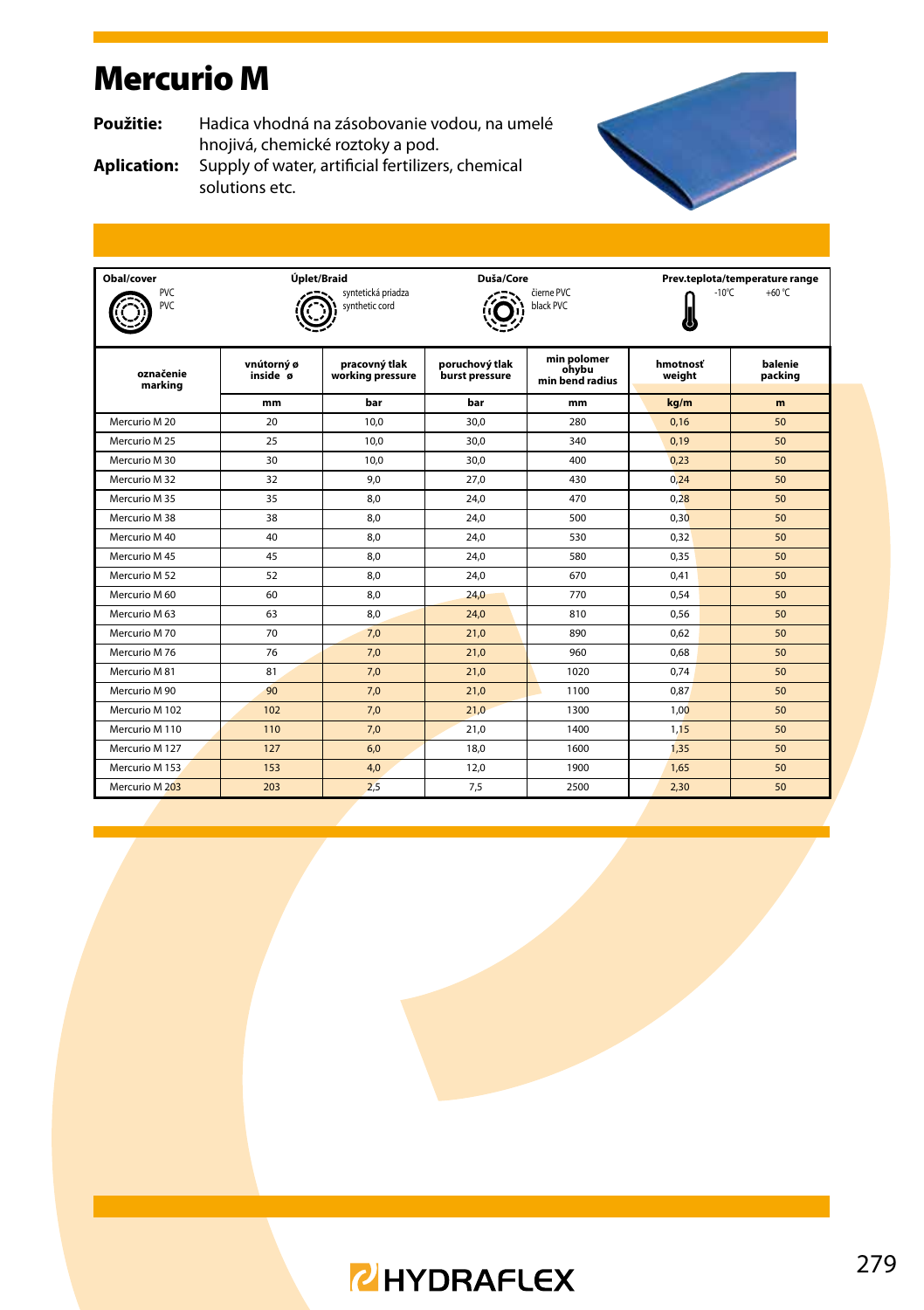### Mercurio M

**Použitie:** Hadica vhodná na zásobovanie vodou, na umelé hnojivá, chemické roztoky a pod.



**Aplication:** Supply of water, artificial fertilizers, chemical solutions etc.



| Obal/cover<br>PVC<br><b>PVC</b> | Úplet/Braid            | svntetická priadza<br>synthetic cord | Duša/Core                        | čierne PVC<br>black PVC                 | Prev.teplota/temperature range<br>$+60 °C$<br>$-10^{\circ}$ C |                    |  |  |
|---------------------------------|------------------------|--------------------------------------|----------------------------------|-----------------------------------------|---------------------------------------------------------------|--------------------|--|--|
| označenie<br>marking            | vnútorný ø<br>inside ø | pracovný tlak<br>working pressure    | poruchový tlak<br>burst pressure | min polomer<br>ohvbu<br>min bend radius | hmotnosť<br>weight                                            | balenie<br>packing |  |  |
|                                 | mm                     | bar                                  | bar                              | mm                                      | kg/m                                                          | m                  |  |  |
| Mercurio M 20                   | 20 <sup>2</sup>        | 10.0                                 | 30.0                             | 280                                     | 0.16                                                          | 50                 |  |  |
| Mercurio M 25                   | 25                     | 10.0                                 | 30.0                             | 340                                     | 0.19                                                          | 50                 |  |  |
| Mercurio M 30                   | 30                     | 10.0                                 | 30.0                             | 400                                     | 0.23                                                          | 50                 |  |  |
| Mercurio M 32                   | 32                     | 9.0                                  | 27.0                             | 430                                     | 0.24                                                          | 50                 |  |  |
| Mercurio M 35                   | 35                     | 8.0                                  | 24.0                             | 470                                     | 0.28                                                          | 50                 |  |  |
| Mercurio M 38                   | 38                     | 8.0                                  | 24.0                             | 500                                     | 0.30                                                          | 50                 |  |  |
| Mercurio M 40                   | 40                     | 8.0                                  | 24.0                             | 530                                     | 0.32                                                          | 50                 |  |  |
| Mercurio M45                    | 45                     | 8.0                                  | 24.0                             | 580                                     | 0.35                                                          | 50                 |  |  |
| Mercurio M 52                   | 52                     | 8.0                                  | 24.0                             | 670                                     | 0.41                                                          | 50                 |  |  |
| Mercurio M 60                   | 60                     | 8.0                                  | 24.0                             | 770                                     | 0.54                                                          | 50                 |  |  |
| Mercurio M 63                   | 63                     | 8.0                                  | 24,0                             | 810                                     | 0.56                                                          | 50                 |  |  |
| Mercurio M 70                   | 70                     | 7.0                                  | 21.0                             | 890                                     | 0.62                                                          | 50                 |  |  |
| Mercurio M 76                   | 76                     | 7.0                                  | 21.0                             | 960                                     | 0.68                                                          | 50                 |  |  |
| Mercurio M 81                   | 81                     | 7.0                                  | 21.0                             | 1020                                    | 0.74                                                          | 50                 |  |  |
| Mercurio M 90                   | 90                     | 7.0                                  | 21.0                             | 1100                                    | 0.87                                                          | 50                 |  |  |
| Mercurio M 102                  | 102                    | 7.0                                  | 21.0                             | 1300                                    | 1.00                                                          | 50                 |  |  |
| Mercurio M 110                  | 110                    | 7.0                                  | 21.0                             | 1400                                    | 1.15                                                          | 50                 |  |  |
| Mercurio M 127                  | 127                    | 6.0                                  | 18.0                             | 1600                                    | 1.35                                                          | 50                 |  |  |
| Mercurio M 153                  | 153                    | 4,0                                  | 12,0                             | 1900                                    | 1.65                                                          | 50                 |  |  |
| Mercurio M 203                  | 203                    | 2.5                                  | 7.5                              | 2500                                    | 2.30                                                          | 50                 |  |  |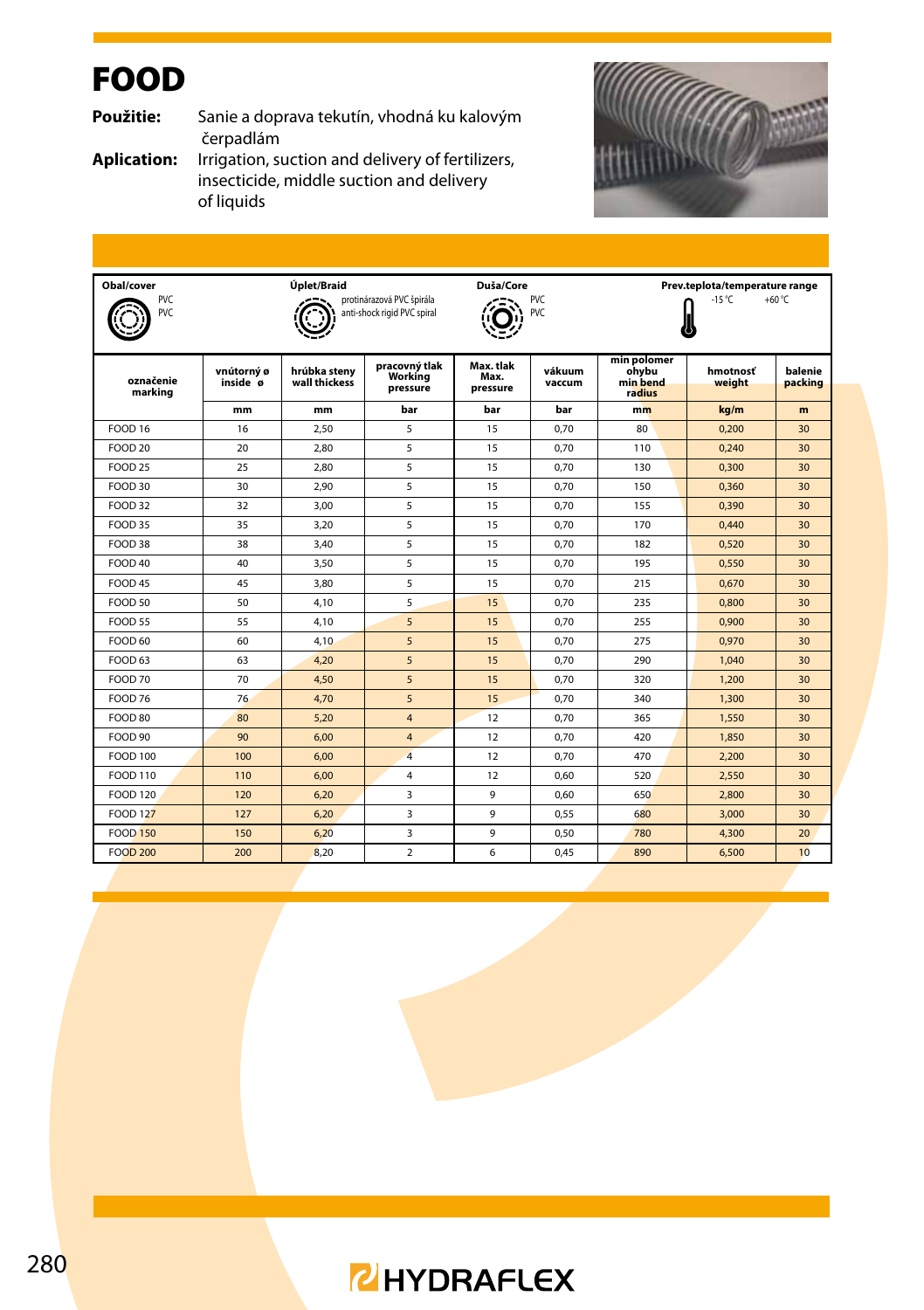## FOOD

**Použitie:** Sanie a doprava tekutín, vhodná ku kalovým čerpadlám

**Aplication:** Irrigation, suction and delivery of fertilizers, insecticide, middle suction and delivery of liquids



| Obal/cover<br>PVC<br>PVC |                        | Úplet/Braid<br>Duša/Core<br>protinárazová PVC špirála<br>anti-shock rigid PVC spiral |                                      |                               | Prev.teplota/temperature range<br>$-15^{\circ}$ C<br>+60 $°C$<br>PVC<br>PVC |                                            |                    |                    |  |
|--------------------------|------------------------|--------------------------------------------------------------------------------------|--------------------------------------|-------------------------------|-----------------------------------------------------------------------------|--------------------------------------------|--------------------|--------------------|--|
| označenie<br>marking     | vnútorný ø<br>inside ø | hrúbka stenv<br>wall thickess                                                        | pracovný tlak<br>Working<br>pressure | Max. tlak<br>Max.<br>pressure | vákuum<br>vaccum                                                            | min polomer<br>ohvbu<br>min bend<br>radius | hmotnosť<br>weight | balenie<br>packing |  |
|                          | mm                     | mm                                                                                   | bar                                  | bar                           | bar                                                                         | mm                                         | ka/m               | m                  |  |
| <b>FOOD 16</b>           | 16                     | 2.50                                                                                 | 5                                    | 15                            | 0.70                                                                        | 80                                         | 0.200              | 30                 |  |
| FOOD 20                  | 20                     | 2.80                                                                                 | 5                                    | 15                            | 0.70                                                                        | 110                                        | 0.240              | 30                 |  |
| FOOD 25                  | 25                     | 2.80                                                                                 | 5                                    | 15                            | 0.70                                                                        | 130                                        | 0.300              | 30                 |  |
| FOOD 30                  | 30                     | 2.90                                                                                 | 5                                    | 15                            | 0.70                                                                        | 150                                        | 0.360              | 30                 |  |
| FOOD 32                  | 32                     | 3.00                                                                                 | 5                                    | 15                            | 0.70                                                                        | 155                                        | 0.390              | 30                 |  |
| <b>FOOD 35</b>           | 35                     | 3,20                                                                                 | 5                                    | 15                            | 0,70                                                                        | 170                                        | 0,440              | 30                 |  |
| <b>FOOD 38</b>           | 38                     | 3.40                                                                                 | 5                                    | 15                            | 0.70                                                                        | 182                                        | 0.520              | 30                 |  |
| FOOD 40                  | 40                     | 3.50                                                                                 | 5                                    | 15                            | 0.70                                                                        | 195                                        | 0.550              | 30                 |  |
| FOOD 45                  | 45                     | 3.80                                                                                 | 5                                    | 15                            | 0.70                                                                        | 215                                        | 0.670              | 30                 |  |
| FOOD 50                  | 50                     | 4.10                                                                                 | 5                                    | 15                            | 0.70                                                                        | 235                                        | 0.800              | 30                 |  |
| <b>FOOD 55</b>           | 55                     | 4.10                                                                                 | 5                                    | 15                            | 0.70                                                                        | 255                                        | 0.900              | 30                 |  |
| <b>FOOD 60</b>           | 60                     | 4.10                                                                                 | 5                                    | 15                            | 0.70                                                                        | 275                                        | 0.970              | 30                 |  |
| FOOD 63                  | 63                     | 4.20                                                                                 | 5                                    | 15                            | 0.70                                                                        | 290                                        | 1.040              | 30                 |  |
| <b>FOOD 70</b>           | 70                     | 4.50                                                                                 | 5                                    | 15                            | 0.70                                                                        | 320                                        | 1,200              | 30                 |  |
| FOOD 76                  | 76                     | 4.70                                                                                 | 5                                    | 15                            | 0.70                                                                        | 340                                        | 1,300              | 30                 |  |
| FOOD 80                  | 80                     | 5.20                                                                                 | $\overline{4}$                       | 12                            | 0.70                                                                        | 365                                        | 1,550              | 30                 |  |
| <b>FOOD 90</b>           | 90                     | 6.00                                                                                 | $\overline{4}$                       | 12                            | 0.70                                                                        | 420                                        | 1,850              | 30                 |  |
| <b>FOOD 100</b>          | 100                    | 6.00                                                                                 | $\overline{4}$                       | 12                            | 0.70                                                                        | 470                                        | 2,200              | 30                 |  |
| FOOD 110                 | 110                    | 6.00                                                                                 | 4                                    | 12                            | 0.60                                                                        | 520                                        | 2,550              | 30                 |  |
| <b>FOOD 120</b>          | 120                    | 6.20                                                                                 | 3                                    | 9                             | 0.60                                                                        | 650                                        | 2,800              | 30                 |  |
| <b>FOOD 127</b>          | 127                    | 6.20                                                                                 | 3                                    | 9                             | 0.55                                                                        | 680                                        | 3,000              | 30                 |  |
| <b>FOOD 150</b>          | 150                    | 6.20                                                                                 | 3                                    | 9                             | 0.50                                                                        | 780                                        | 4,300              | 20                 |  |
| <b>FOOD 200</b>          | 200                    | 8.20                                                                                 | $\mathcal{P}$                        | 6                             | 0.45                                                                        | 890                                        | 6,500              | 10 <sup>10</sup>   |  |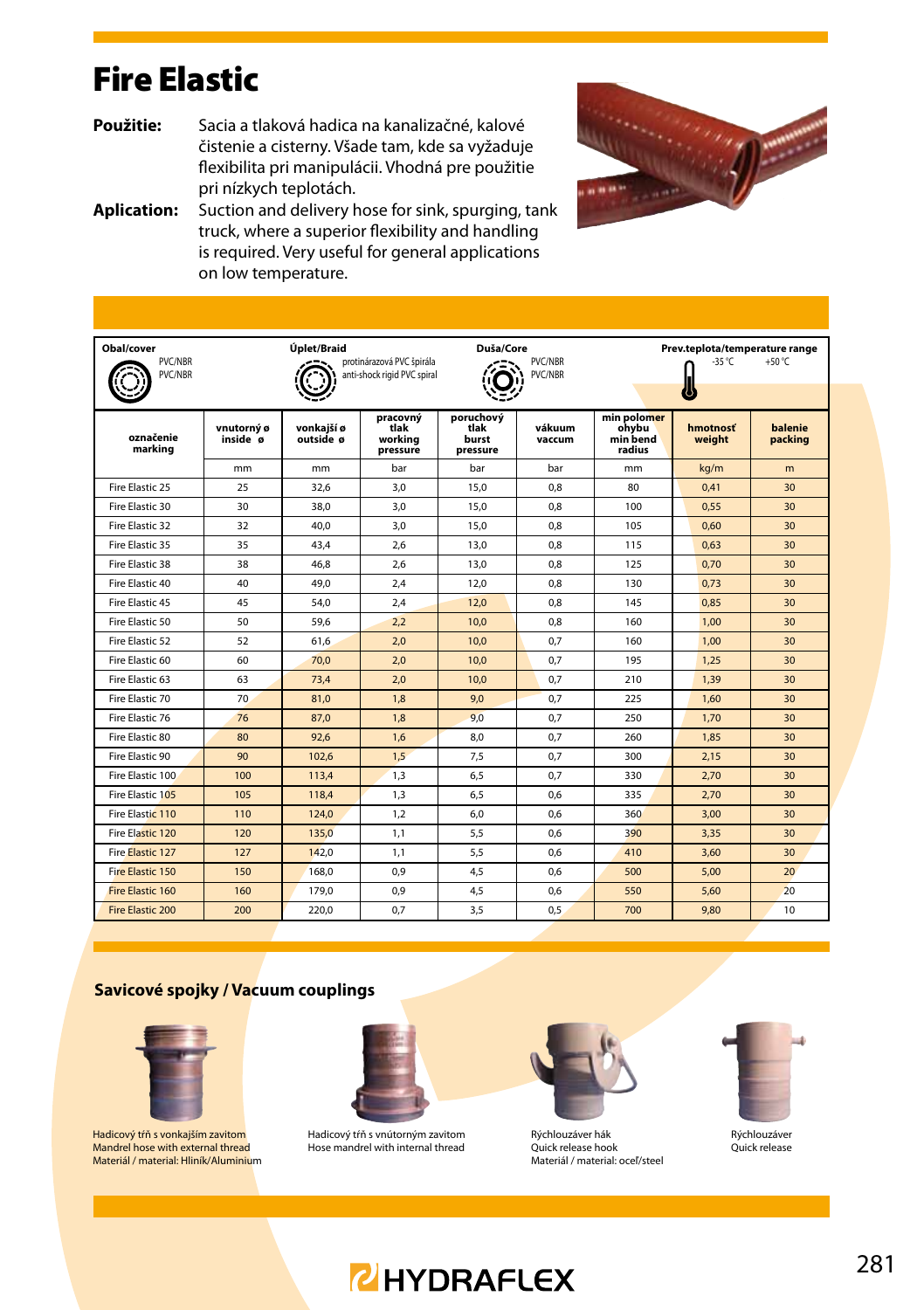#### Fire Elastic

- **Použitie:** Sacia a tlaková hadica na kanalizačné, kalové čistenie a cisterny. Všade tam, kde sa vyžaduje flexibilita pri manipulácii. Vhodná pre použitie pri nízkych teplotách.
- **Aplication:** Suction and delivery hose for sink, spurging, tank truck, where a superior flexibility and handling is required. Very useful for general applications on low temperature.



| Obal/cover           |                        | Úplet/Braid             |                                                          | Duša/Core                              |                    |                                            | Prev.teplota/temperature range | $+50 °C$           |
|----------------------|------------------------|-------------------------|----------------------------------------------------------|----------------------------------------|--------------------|--------------------------------------------|--------------------------------|--------------------|
| PVC/NBR<br>PVC/NBR   |                        |                         | protinárazová PVC špirála<br>anti-shock rigid PVC spiral |                                        | PVC/NBR<br>PVC/NBR |                                            | $-35^{\circ}$ C                |                    |
|                      |                        |                         |                                                          |                                        |                    |                                            |                                |                    |
| označenie<br>marking | vnutorný ø<br>inside ø | vonkaiší ø<br>outside ø | pracovný<br>tlak<br>working<br>pressure                  | poruchový<br>tlak<br>burst<br>pressure | vákuum<br>vaccum   | min polomer<br>ohvbu<br>min bend<br>radius | <b>hmotnosť</b><br>weight      | balenie<br>packing |
|                      | mm                     | mm                      | bar                                                      | bar                                    | bar                | mm                                         | kg/m                           | m.                 |
| Fire Flastic 25      | 25                     | 32.6                    | 3.0                                                      | 15.0                                   | 0.8                | 80                                         | 0,41                           | 30                 |
| Fire Elastic 30      | 30                     | 38.0                    | 3.0                                                      | 15.0                                   | 0.8                | 100                                        | 0.55                           | 30                 |
| Fire Flastic 32      | 32                     | 40.0                    | 3.0                                                      | 15,0                                   | 0.8                | 105                                        | 0.60                           | 30                 |
| Fire Flastic 35      | 35                     | 43.4                    | 2.6                                                      | 13.0                                   | 0.8                | 115                                        | 0.63                           | 30                 |
| Fire Flastic 38      | 38                     | 46.8                    | 2.6                                                      | 13.0                                   | 0.8                | 125                                        | 0.70                           | 30                 |
| Fire Flastic 40      | 40                     | 49.0                    | 2.4                                                      | 12,0                                   | 0.8                | 130                                        | 0.73                           | 30                 |
| Fire Elastic 45      | 45                     | 54.0                    | 2.4                                                      | 12.0                                   | 0.8                | 145                                        | 0.85                           | 30                 |
| Fire Flastic 50      | 50                     | 59.6                    | 2.2                                                      | 10.0                                   | 0.8                | 160                                        | 1.00                           | 30                 |
| Fire Flastic 52      | 52                     | 61.6                    | 2.0                                                      | 10.0                                   | 0.7                | 160                                        | 1.00                           | 30                 |
| Fire Flastic 60      | 60                     | 70.0                    | 2.0                                                      | 10.0                                   | 0.7                | 195                                        | 1.25                           | 30                 |
| Fire Flastic 63      | 63                     | 73.4                    | 2.0                                                      | 10.0                                   | 0.7                | 210                                        | 1.39                           | 30                 |
| Fire Elastic 70      | 70                     | 81.0                    | 1.8                                                      | 9.0                                    | 0.7                | 225                                        | 1.60                           | 30                 |
| Fire Flastic 76      | 76                     | 87.0                    | 1.8                                                      | 9.0                                    | 0.7                | 250                                        | 1.70                           | 30                 |
| Fire Flastic 80      | 80                     | 92.6                    | 1.6                                                      | 8.0                                    | 0.7                | 260                                        | 1.85                           | 30                 |
| Fire Flastic 90      | 90                     | 102,6                   | 1,5                                                      | 7,5                                    | 0.7                | 300                                        | 2.15                           | 30                 |
| Fire Flastic 100     | 100                    | 113.4                   | 1.3                                                      | 6.5                                    | 0.7                | 330                                        | 2.70                           | 30                 |
| Fire Flastic 105     | 105                    | 118.4                   | 1.3                                                      | 6.5                                    | 0.6                | 335                                        | 2.70                           | 30                 |
| Fire Flastic 110     | 110                    | 124.0                   | 1,2                                                      | 6.0                                    | 0.6                | 360                                        | 3,00                           | 30                 |
| Fire Elastic 120     | 120                    | 135.0                   | 1.1                                                      | 5.5                                    | 0.6                | 390                                        | 3.35                           | 30                 |
| Fire Flastic 127     | 127                    | 142,0                   | 1,1                                                      | 5,5                                    | 0.6                | 410                                        | 3.60                           | 30                 |
| Fire Flastic 150     | 150                    | 168,0                   | 0.9                                                      | 4,5                                    | 0.6                | 500                                        | 5,00                           | 20 <sub>o</sub>    |
| Fire Flastic 160     | 160                    | 179.0                   | 0.9                                                      | 4.5                                    | 0.6                | 550                                        | 5.60                           | 20 <sub>0</sub>    |
| Fire Elastic 200     | 200                    | 220.0                   | 0.7                                                      | 3.5                                    | 0.5                | 700                                        | 9.80                           | 10                 |

#### **Savicové spojky / Vacuum couplings**



Hadicový tŕň s vonkajším zavitom Mandrel hose with external thread Materiál / material: Hliník/Aluminium



Hadicový tŕň s vnútorným zavitom Hose mandrel with internal thread



Rýchlouzáver hák Quick release hook Materiál / material: oceľ/steel



Rýchlouzáver Quick release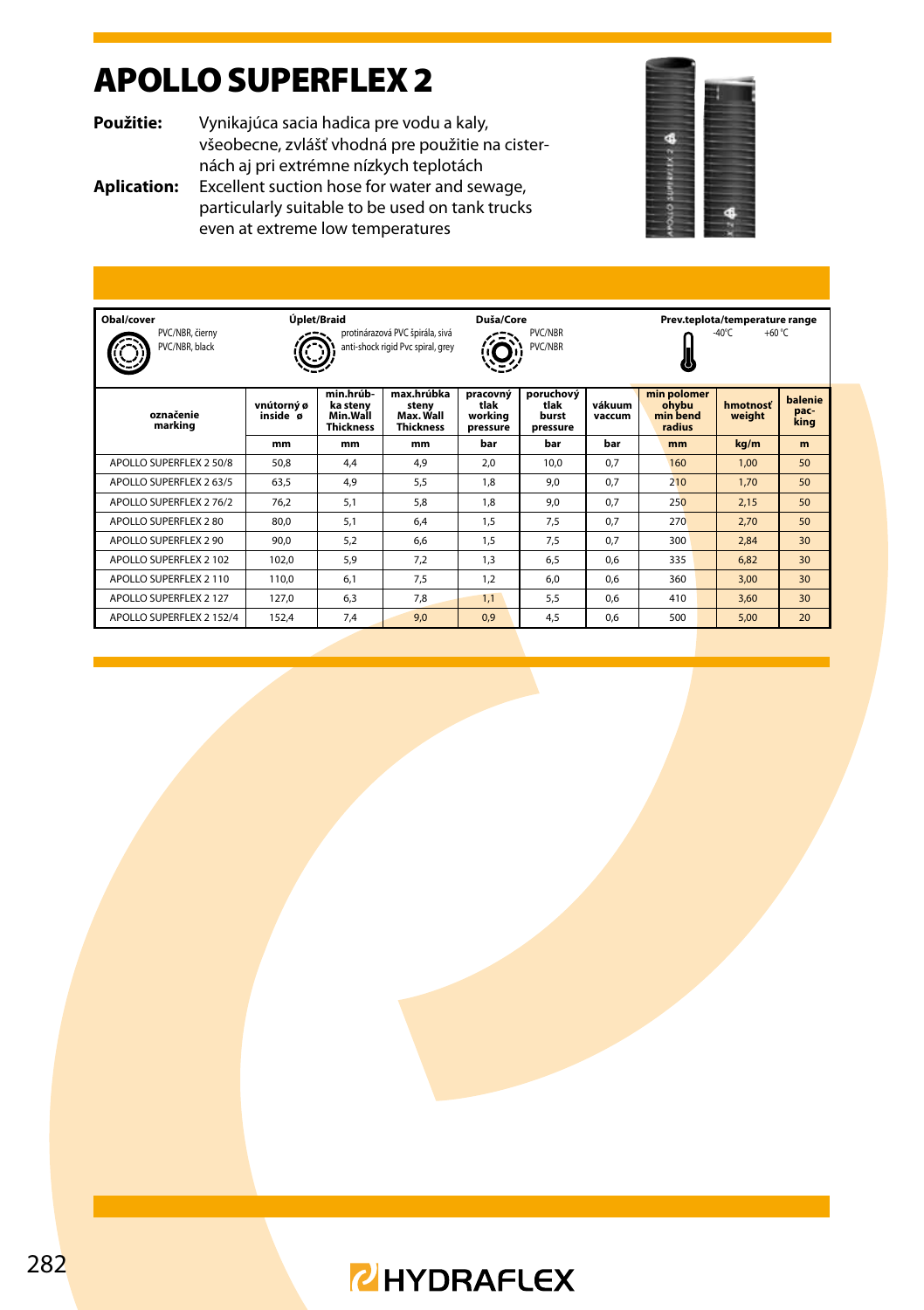## APOLLO SUPERFLEX 2

**Použitie:** Vynikajúca sacia hadica pre vodu a kaly, všeobecne, zvlášť vhodná pre použitie na cisternách aj pri extrémne nízkych teplotách

**Aplication:** Excellent suction hose for water and sewage, particularly suitable to be used on tank trucks even at extreme low temperatures



| Obal/cover<br>PVC/NBR, čierny<br>PVC/NBR, black |                        | Úplet/Braid                                           | protinárazová PVC špirála, sivá<br>anti-shock rigid Pvc spiral, grey | Duša/Core<br>PVC/NBR<br><b>PVC/NBR</b>  |                                        |                  | Prev.teplota/temperature range<br>+60 $\degree$ C<br>$-40^{\circ}$ C |                    |                         |  |
|-------------------------------------------------|------------------------|-------------------------------------------------------|----------------------------------------------------------------------|-----------------------------------------|----------------------------------------|------------------|----------------------------------------------------------------------|--------------------|-------------------------|--|
| označenie<br>marking                            | vnútorný ø<br>inside ø | min.hrúb-<br>ka stenv<br>Min.Wall<br><b>Thickness</b> | max.hrúbka<br>stenv<br>Max. Wall<br><b>Thickness</b>                 | pracovný<br>tlak<br>workina<br>pressure | poruchový<br>tlak<br>burst<br>pressure | vákuum<br>vaccum | min polomer<br>ohvbu<br>min bend<br>radius                           | hmotnosť<br>weight | balenie<br>pac-<br>king |  |
|                                                 | mm                     | mm                                                    | mm                                                                   | bar                                     | bar                                    | bar              | mm                                                                   | kg/m               | m                       |  |
| APOLLO SUPERFLEX 2 50/8                         | 50.8                   | 4.4                                                   | 4.9                                                                  | 2.0                                     | 10.0                                   | 0.7              | 160                                                                  | 1,00               | 50                      |  |
| APOLLO SUPERFLEX 2 63/5                         | 63.5                   | 4.9                                                   | 5.5                                                                  | 1.8                                     | 9.0                                    | 0.7              | 210                                                                  | 1.70               | 50                      |  |
| APOLLO SUPERFLEX 276/2                          | 76.2                   | 5.1                                                   | 5.8                                                                  | 1.8                                     | 9.0                                    | 0.7              | 250                                                                  | 2,15               | 50                      |  |
| APOLLO SUPERFLEX 2 80                           | 80.0                   | 5.1                                                   | 6.4                                                                  | 1.5                                     | 7.5                                    | 0.7              | 270                                                                  | 2.70               | 50                      |  |
| APOLLO SUPERFLEX 2.90                           | 90.0                   | 5.2                                                   | 6.6                                                                  | 1.5                                     | 7.5                                    | 0.7              | 300                                                                  | 2.84               | 30                      |  |
| APOLLO SUPERFLEX 2 102                          | 102.0                  | 5.9                                                   | 7.2                                                                  | 1.3                                     | 6.5                                    | 0.6              | 335                                                                  | 6.82               | 30                      |  |
| APOLLO SUPERFLEX 2 110                          | 110.0                  | 6.1                                                   | 7.5                                                                  | 1.2                                     | 6.0                                    | 0.6              | 360                                                                  | 3,00               | 30                      |  |
| APOLLO SUPERFLEX 2 127                          | 127.0                  | 6.3                                                   | 7.8                                                                  | 1.1                                     | 5.5                                    | 0.6              | 410                                                                  | 3.60               | 30                      |  |
| APOLLO SUPERFLEX 2 152/4                        | 152,4                  | 7.4                                                   | 9,0                                                                  | 0.9                                     | 4.5                                    | 0.6              | 500                                                                  | 5.00               | 20                      |  |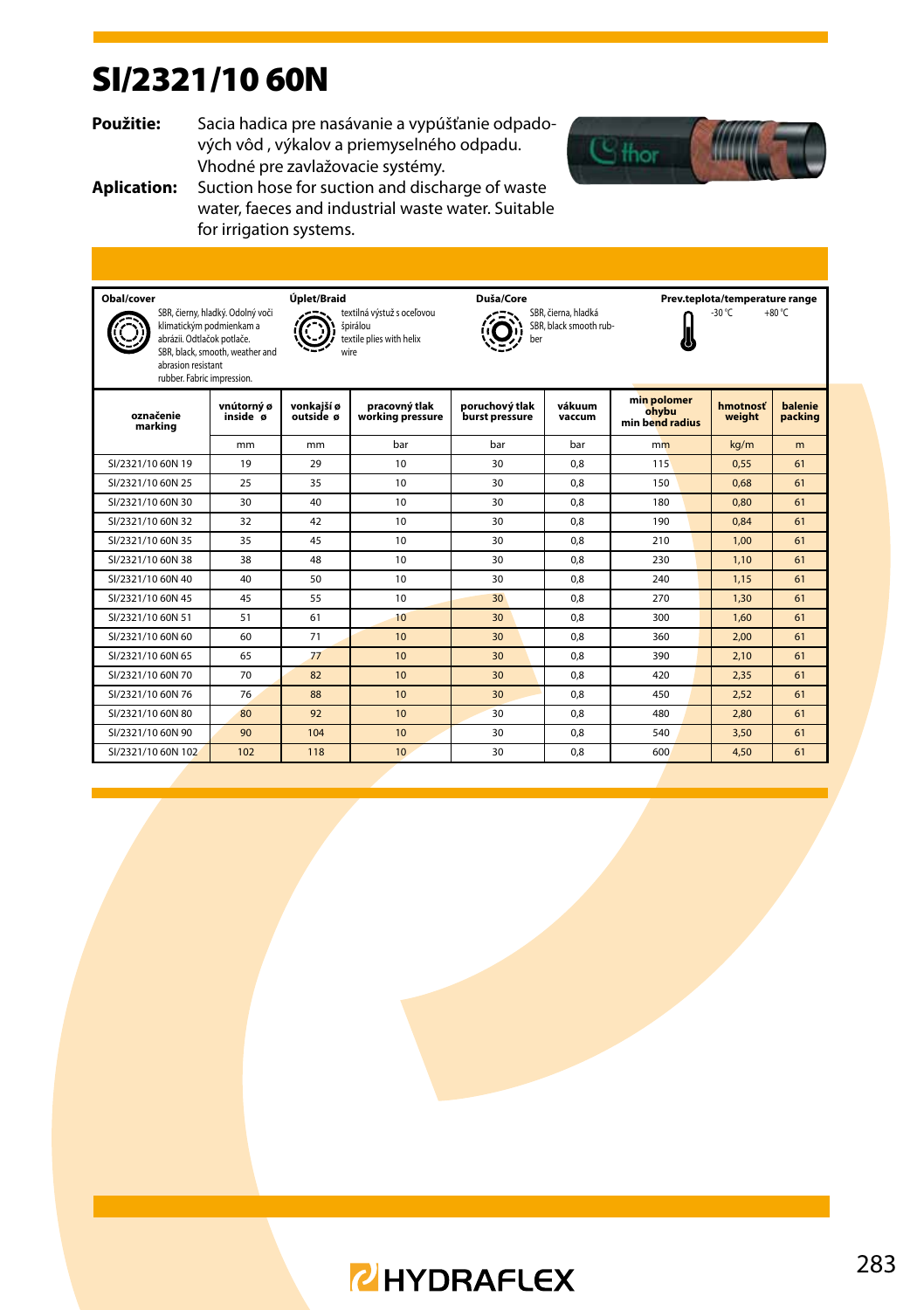## SI/2321/10 60N

**Použitie:** Sacia hadica pre nasávanie a vypúšťanie odpadových vôd , výkalov a priemyselného odpadu. Vhodné pre zavlažovacie systémy.



**Aplication:** Suction hose for suction and discharge of waste water, faeces and industrial waste water. Suitable for irrigation systems.

| Obal/cover                                                                     |                                                                                                 | Úplet/Braid             |                                                                    | Duša/Core                        |                                               |                                         | Prev.teplota/temperature range |                    |  |  |
|--------------------------------------------------------------------------------|-------------------------------------------------------------------------------------------------|-------------------------|--------------------------------------------------------------------|----------------------------------|-----------------------------------------------|-----------------------------------------|--------------------------------|--------------------|--|--|
| abrázii. Odtlačok potlače.<br>abrasion resistant<br>rubber. Fabric impression. | SBR, čierny, hladký. Odolný voči<br>klimatickým podmienkam a<br>SBR, black, smooth, weather and | wire                    | textilná výstuž s oceľovou<br>špirálou<br>textile plies with helix | ber                              | SBR, čierna, hladká<br>SBR, black smooth rub- |                                         | $-30 °C$                       | $+80 °C$           |  |  |
| označenie<br>marking                                                           | vnútorný ø<br>inside ø                                                                          | vonkaiší ø<br>outside ø | pracovný tlak<br>working pressure                                  | poruchový tlak<br>burst pressure | vákuum<br>vaccum                              | min polomer<br>ohybu<br>min bend radius | hmotnosť<br>weight             | balenie<br>packing |  |  |
|                                                                                | mm                                                                                              | m <sub>m</sub>          | bar                                                                | bar                              | bar                                           | mm                                      | kg/m                           | m                  |  |  |
| SI/2321/10 60N 19                                                              | 19                                                                                              | 29                      | 10 <sup>10</sup>                                                   | 30                               | 0.8                                           | 115                                     | 0.55                           | 61                 |  |  |
| SI/2321/10 60N 25                                                              | 25                                                                                              | 35                      | 10 <sup>10</sup>                                                   | 30                               | 0.8                                           | 150                                     | 0.68                           | 61                 |  |  |
| SI/2321/10 60N 30                                                              | 30                                                                                              | 40                      | 10                                                                 | 30                               | 0.8                                           | 180                                     | 0.80                           | 61                 |  |  |
| SI/2321/10 60N 32                                                              | 32                                                                                              | 42                      | 10                                                                 | 30                               | 0.8                                           | 190                                     | 0.84                           | 61                 |  |  |
| SI/2321/10 60N 35                                                              | 35                                                                                              | 45                      | 10                                                                 | 30                               | 0.8                                           | 210                                     | 1.00                           | 61                 |  |  |
| SI/2321/10 60N 38                                                              | 38                                                                                              | 48                      | 10                                                                 | 30                               | 0.8                                           | 230                                     | 1.10                           | 61                 |  |  |
| SI/2321/10 60N 40                                                              | 40                                                                                              | 50                      | 10                                                                 | 30                               | 0.8                                           | 240                                     | 1.15                           | 61                 |  |  |
| SI/2321/10 60N 45                                                              | 45                                                                                              | 55                      | 10                                                                 | 30                               | 0.8                                           | 270                                     | 1.30                           | 61                 |  |  |
| SI/2321/10 60N 51                                                              | 51                                                                                              | 61                      | 10                                                                 | 30                               | 0.8                                           | 300                                     | 1.60                           | 61                 |  |  |
| SI/2321/10 60N 60                                                              | 60                                                                                              | 71                      | 10 <sup>10</sup>                                                   | 30                               | 0.8                                           | 360                                     | 2.00                           | 61                 |  |  |
| SI/2321/10 60N 65                                                              | 65                                                                                              | 77                      | 10 <sup>10</sup>                                                   | 30                               | 0.8                                           | 390                                     | 2.10                           | 61                 |  |  |
| SI/2321/10 60N 70                                                              | 70                                                                                              | 82                      | 10 <sup>10</sup>                                                   | 30                               | 0.8                                           | 420                                     | 2.35                           | 61                 |  |  |
| SI/2321/10 60N 76                                                              | 76                                                                                              | 88                      | 10                                                                 | 30                               | 0.8                                           | 450                                     | 2,52                           | 61                 |  |  |
| SI/2321/10 60N 80                                                              | 80                                                                                              | 92                      | 10 <sup>10</sup>                                                   | 30                               | 0.8                                           | 480                                     | 2.80                           | 61                 |  |  |
| SI/2321/10 60N 90                                                              | 90                                                                                              | 104                     | 10                                                                 | 30                               | 0.8                                           | 540                                     | 3,50                           | 61                 |  |  |
| SI/2321/10 60N 102                                                             | 102                                                                                             | 118                     | 10                                                                 | 30                               | 0.8                                           | 600                                     | 4.50                           | 61                 |  |  |

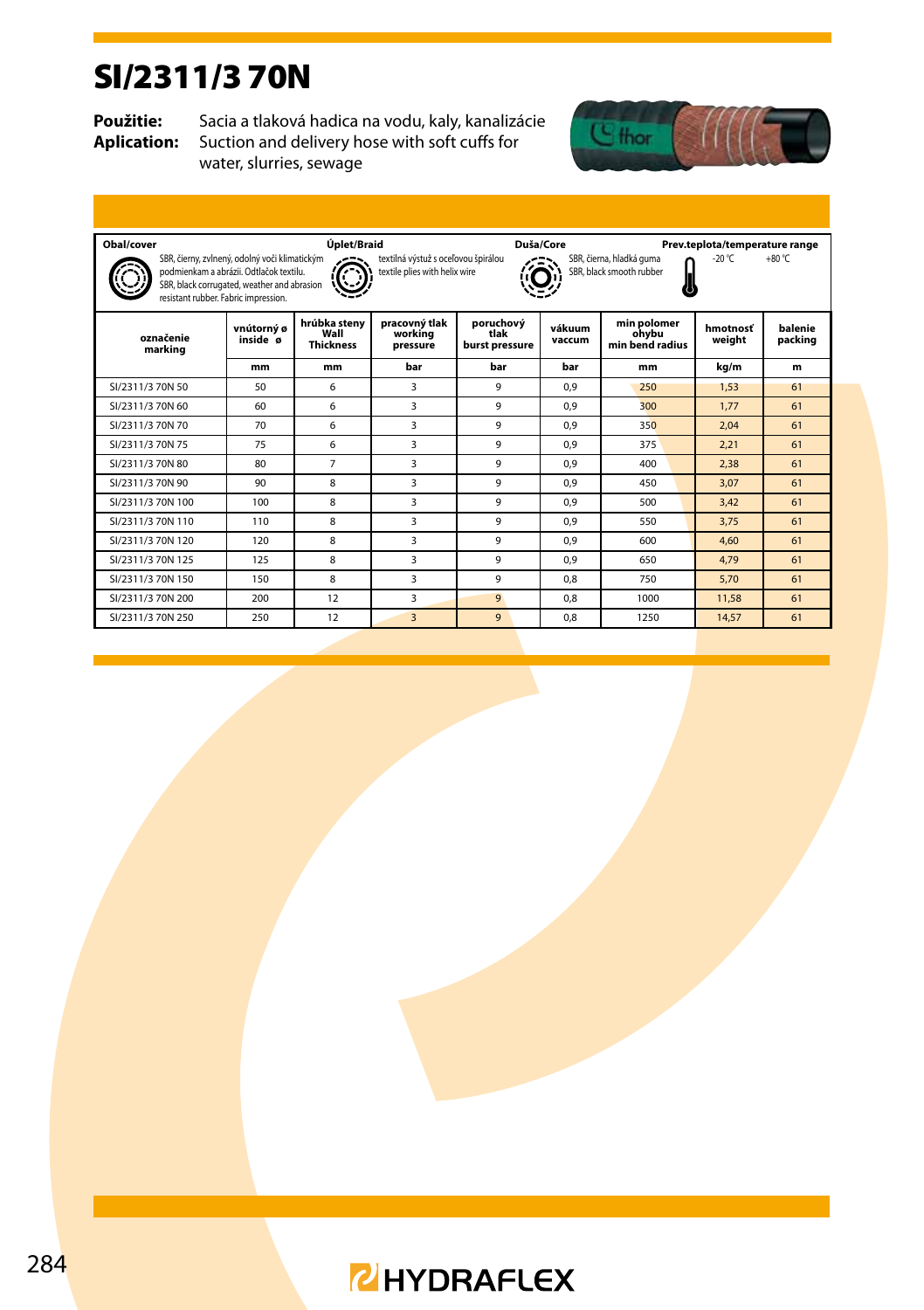#### SI/2311/3 70N

**Použitie:** Sacia a tlaková hadica na vodu, kaly, kanalizácie<br>**Aplication:** Suction and delivery hose with soft cuffs for Suction and delivery hose with soft cuffs for water, slurries, sewage



| Obal/cover                                                                                                                                                                                                                                                                                                                                  |                        | Úplet/Braid                              |                                      |                                     | Duša/Core        |                                         | Prev.teplota/temperature range |                    |  |  |
|---------------------------------------------------------------------------------------------------------------------------------------------------------------------------------------------------------------------------------------------------------------------------------------------------------------------------------------------|------------------------|------------------------------------------|--------------------------------------|-------------------------------------|------------------|-----------------------------------------|--------------------------------|--------------------|--|--|
| SBR, čierny, zvlnený, odolný voči klimatickým<br>SBR, čierna, hladká guma<br>textilná výstuž s oceľovou špirálou<br>-20 °C<br>$+80 °C$<br>SBR, black smooth rubber<br>podmienkam a abrázii. Odtlačok textilu.<br>textile plies with helix wire<br>SBR, black corrugated, weather and abrasion<br>いい<br>resistant rubber. Fabric impression. |                        |                                          |                                      |                                     |                  |                                         |                                |                    |  |  |
| označenie<br>marking                                                                                                                                                                                                                                                                                                                        | vnútorný ø<br>inside ø | hrúbka steny<br>Wall<br><b>Thickness</b> | pracovný tlak<br>workina<br>pressure | poruchový<br>tlak<br>burst pressure | vákuum<br>vaccum | min polomer<br>ohvbu<br>min bend radius | hmotnosť<br>weight             | balenie<br>packing |  |  |
|                                                                                                                                                                                                                                                                                                                                             | mm                     | mm                                       | bar                                  | bar                                 | bar              | mm                                      | ka/m                           | m                  |  |  |
| SI/2311/3 70N 50                                                                                                                                                                                                                                                                                                                            | 50                     | 6                                        | 3                                    | 9                                   | 0.9              | 250                                     | 1.53                           | 61                 |  |  |
| SI/2311/3 70N 60                                                                                                                                                                                                                                                                                                                            | 60                     | 6                                        | 3                                    | 9                                   | 0.9              | 300                                     | 1.77                           | 61                 |  |  |
| SI/2311/3 70N 70                                                                                                                                                                                                                                                                                                                            | 70                     | 6                                        | 3                                    | 9                                   | 0.9              | 350                                     | 2.04                           | 61                 |  |  |
| SI/2311/3 70N 75                                                                                                                                                                                                                                                                                                                            | 75                     | 6                                        | 3                                    | 9                                   | 0.9              | 375                                     | 2.21                           | 61                 |  |  |
| SI/2311/3 70N 80                                                                                                                                                                                                                                                                                                                            | 80                     | $\overline{7}$                           | 3                                    | 9                                   | 0.9              | 400                                     | 2,38                           | 61                 |  |  |
| SI/2311/3 70N 90                                                                                                                                                                                                                                                                                                                            | 90                     | 8                                        | 3                                    | 9                                   | 0.9              | 450                                     | 3.07                           | 61                 |  |  |
| SI/2311/3 70N 100                                                                                                                                                                                                                                                                                                                           | 100                    | 8                                        | 3                                    | 9                                   | 0.9              | 500                                     | 3.42                           | 61                 |  |  |
| SI/2311/3 70N 110                                                                                                                                                                                                                                                                                                                           | 110                    | 8                                        | 3                                    | 9                                   | 0.9              | 550                                     | 3.75                           | 61                 |  |  |
| SI/2311/3 70N 120                                                                                                                                                                                                                                                                                                                           | 120                    | 8                                        | 3                                    | 9                                   | 0.9              | 600                                     | 4.60                           | 61                 |  |  |
| SI/2311/3 70N 125                                                                                                                                                                                                                                                                                                                           | 125                    | 8                                        | 3                                    | 9                                   | 0.9              | 650                                     | 4.79                           | 61                 |  |  |
| SI/2311/3 70N 150                                                                                                                                                                                                                                                                                                                           | 150                    | 8                                        | 3                                    | 9                                   | 0.8              | 750                                     | 5.70                           | 61                 |  |  |
| SI/2311/3 70N 200                                                                                                                                                                                                                                                                                                                           | 200                    | 12                                       | 3                                    | 9                                   | 0.8              | 1000                                    | 11.58                          | 61                 |  |  |
| SI/2311/3 70N 250                                                                                                                                                                                                                                                                                                                           | 250                    | 12                                       | 3                                    | 9                                   | 0.8              | 1250                                    | 14.57                          | 61                 |  |  |

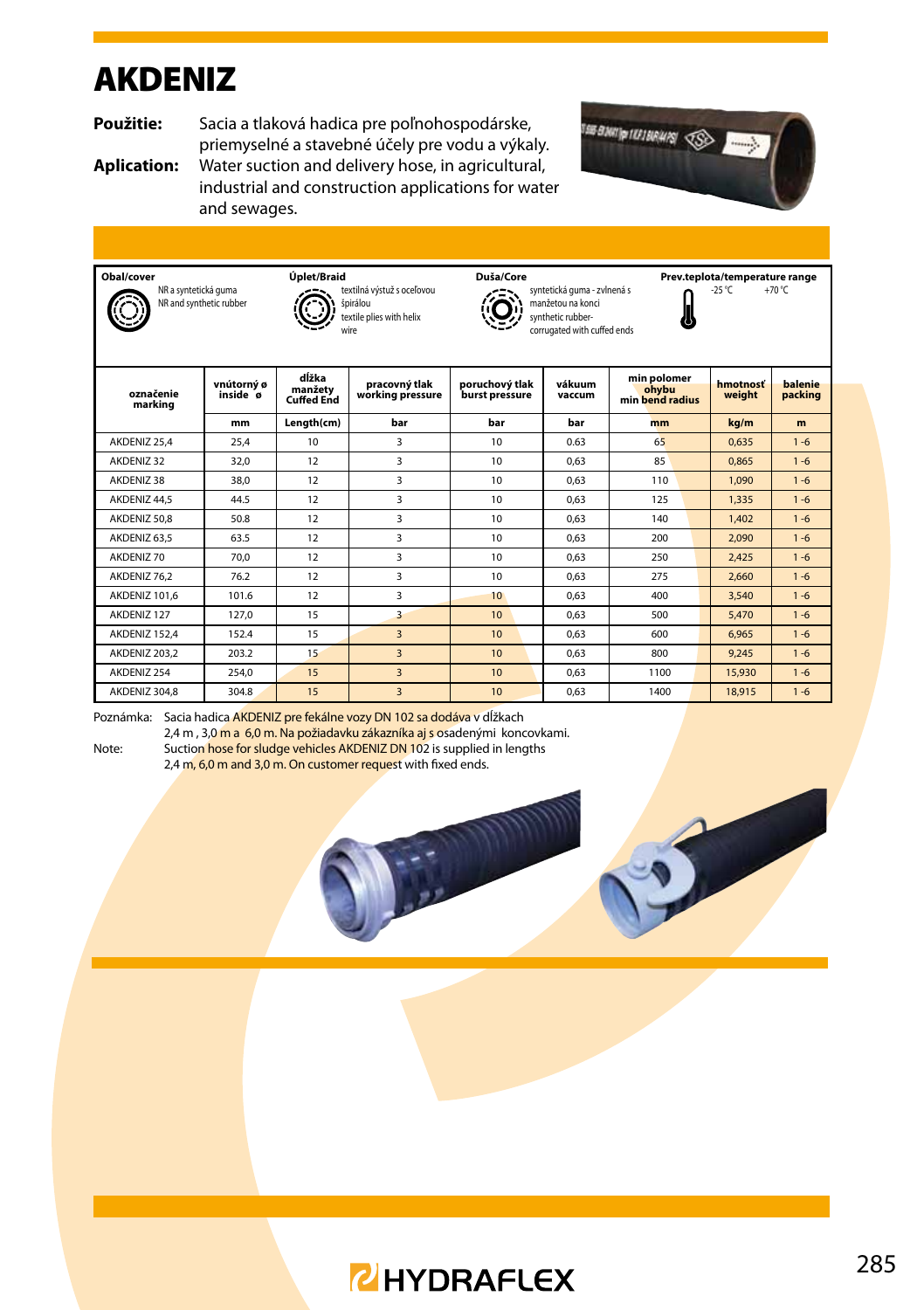#### AKDENIZ

**Použitie:** Sacia a tlaková hadica pre poľnohospodárske, priemyselné a stavebné účely pre vodu a výkaly.

**Aplication:** Water suction and delivery hose, in agricultural, industrial and construction applications for water and sewages.













| označenie<br>marking | vnútorný ø<br>inside ø | dĺžka<br>manžety<br><b>Cuffed End</b> | pracovný tlak<br>working pressure | poruchový tlak<br>burst pressure | vákuum<br>vaccum | min polomer<br>ohybu<br>min bend radius | hmotnosť<br>weight | balenie<br>packing |
|----------------------|------------------------|---------------------------------------|-----------------------------------|----------------------------------|------------------|-----------------------------------------|--------------------|--------------------|
|                      | mm                     | Length(cm)                            | bar                               | bar                              | bar              | mm                                      | kg/m               | m                  |
| AKDENIZ 25.4         | 25,4                   | 10                                    | 3                                 | 10 <sup>2</sup>                  | 0.63             | 65                                      | 0,635              | $1 - 6$            |
| AKDENIZ 32           | 32.0                   | 12                                    | 3                                 | 10 <sup>2</sup>                  | 0.63             | 85                                      | 0.865              | $1 - 6$            |
| AKDENIZ 38           | 38.0                   | 12                                    | 3                                 | 10 <sup>2</sup>                  | 0.63             | 110                                     | 1.090              | $1 - 6$            |
| AKDENIZ 44.5         | 44.5                   | 12                                    | 3                                 | 10 <sup>1</sup>                  | 0.63             | 125                                     | 1,335              | $1 - 6$            |
| AKDENIZ 50.8         | 50.8                   | 12                                    | 3                                 | 10 <sup>1</sup>                  | 0.63             | 140                                     | 1,402              | $1 - 6$            |
| AKDENIZ 63.5         | 63.5                   | 12                                    | 3                                 | 10 <sup>1</sup>                  | 0.63             | 200                                     | 2.090              | $1 - 6$            |
| AKDENIZ 70           | 70.0                   | 12                                    | 3                                 | 10 <sup>1</sup>                  | 0.63             | 250                                     | 2.425              | $1 - 6$            |
| AKDENIZ 76,2         | 76.2                   | 12                                    | 3                                 | 10 <sup>1</sup>                  | 0.63             | 275                                     | 2,660              | $1 - 6$            |
| AKDENIZ 101.6        | 101.6                  | 12                                    | 3                                 | 10 <sup>1</sup>                  | 0.63             | 400                                     | 3,540              | $1 - 6$            |
| AKDENIZ 127          | 127.0                  | 15                                    | 3                                 | 10 <sup>1</sup>                  | 0.63             | 500                                     | 5,470              | $1 - 6$            |
| AKDENIZ 152.4        | 152.4                  | 15                                    | $\overline{3}$                    | 10 <sup>1</sup>                  | 0.63             | 600                                     | 6.965              | $1 - 6$            |
| AKDENIZ 203.2        | 203.2                  | 15                                    | $\overline{\mathbf{3}}$           | 10 <sup>1</sup>                  | 0.63             | 800                                     | 9.245              | $1 - 6$            |
| AKDENIZ 254          | 254.0                  | 15                                    | 3                                 | 10 <sup>1</sup>                  | 0.63             | 1100                                    | 15,930             | $1 - 6$            |
| AKDENIZ 304.8        | 304.8                  | 15                                    | $\overline{\mathbf{3}}$           | 10 <sup>10</sup>                 | 0.63             | 1400                                    | 18,915             | $1 - 6$            |

Poznámka: Sacia hadica AKDENIZ pre fekálne vozy DN 102 sa dodáva v dĺžkach 2,4 m, 3,0 m a 6,0 m. Na požiadavku zákazníka aj s osadenými koncovkami.

Note: Suction hose for sludge vehicles AKDENIZ DN 102 is supplied in lengths 2.4 m. 6.0 m and 3.0 m. On customer request with fixed ends.

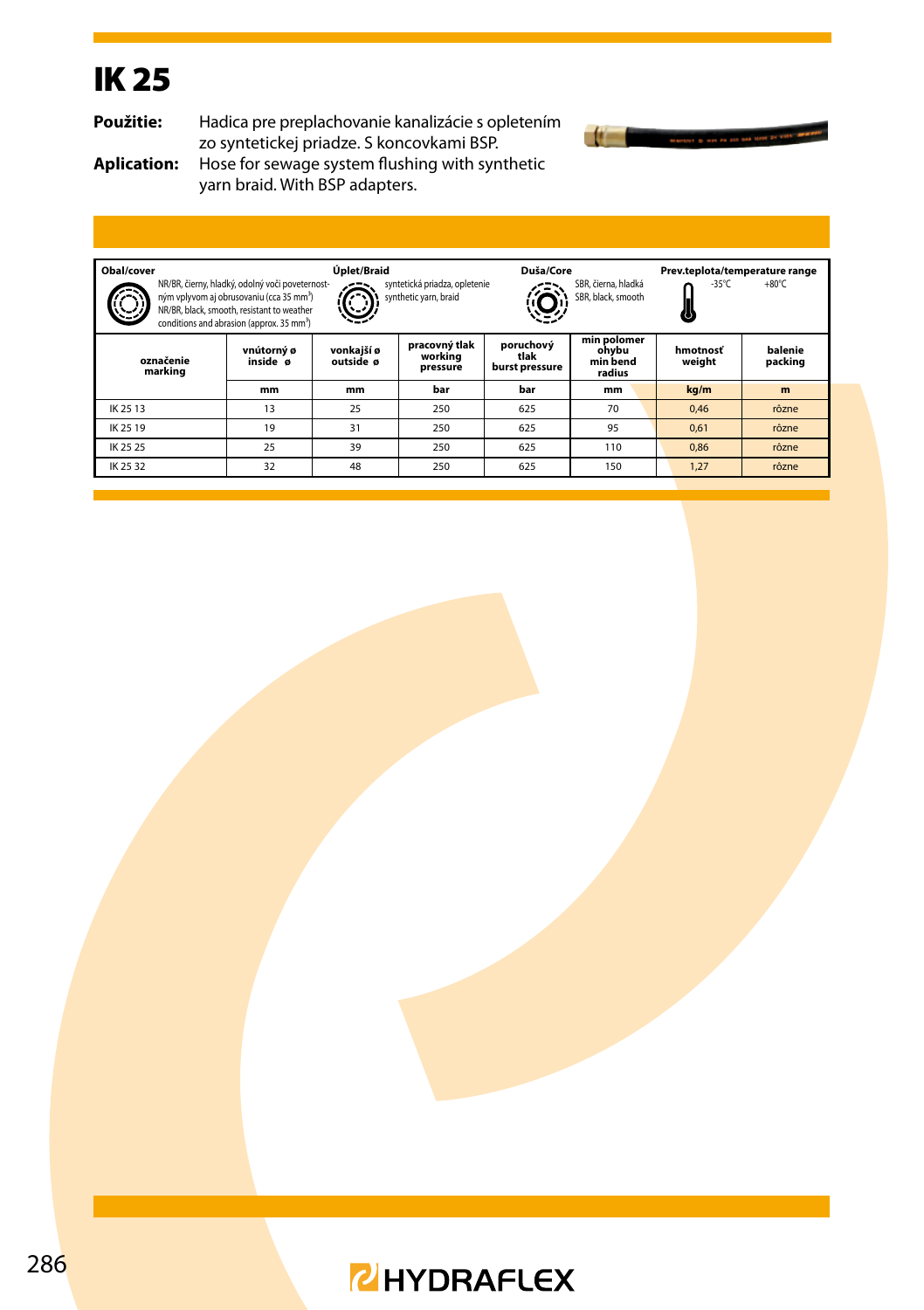# IK 25

**Použitie:** Hadica pre preplachovanie kanalizácie s opletením zo syntetickej priadze. S koncovkami BSP.



**Aplication:** Hose for sewage system flushing with synthetic yarn braid. With BSP adapters.

| Obal/cover<br>Úplet/Braid<br>Duša/Core<br>Prev.teplota/temperature range<br>NR/BR, čierny, hladký, odolný voči poveternost-<br>syntetická priadza, opletenie<br>SBR, čierna, hladká<br>-35°C<br>$+80^{\circ}$ C<br>synthetic yarn, braid<br>ným vplyvom aj obrusovaniu (cca 35 mm <sup>3</sup> )<br>SBR, black, smooth<br>NR/BR, black, smooth, resistant to weather<br>conditions and abrasion (approx, 35 mm <sup>3</sup> ) |                        |                         |                                      |                                     |                                            |                    |                    |  |
|-------------------------------------------------------------------------------------------------------------------------------------------------------------------------------------------------------------------------------------------------------------------------------------------------------------------------------------------------------------------------------------------------------------------------------|------------------------|-------------------------|--------------------------------------|-------------------------------------|--------------------------------------------|--------------------|--------------------|--|
| označenie<br>marking                                                                                                                                                                                                                                                                                                                                                                                                          | vnútorný ø<br>inside ø | vonkajší ø<br>outside ø | pracovný tlak<br>working<br>pressure | poruchový<br>tlak<br>burst pressure | min polomer<br>ohvbu<br>min bend<br>radius | hmotnosť<br>weight | balenie<br>packing |  |
|                                                                                                                                                                                                                                                                                                                                                                                                                               | mm                     | mm                      | bar                                  | bar                                 | mm                                         | kg/m               | m                  |  |
| IK 25 13                                                                                                                                                                                                                                                                                                                                                                                                                      | 13                     | 25                      | 250                                  | 625                                 | 70                                         | 0,46               | rôzne              |  |
| IK 25 19                                                                                                                                                                                                                                                                                                                                                                                                                      | 19                     | 31                      | 250                                  | 625                                 | 95                                         | 0,61               | rôzne              |  |
| IK 25 25                                                                                                                                                                                                                                                                                                                                                                                                                      | 25                     | 39                      | 250                                  | 625                                 | 110                                        | 0.86               | rôzne              |  |
| IK 25 32                                                                                                                                                                                                                                                                                                                                                                                                                      | 32                     | 48                      | 250                                  | 625                                 | 150                                        | 1,27               | rôzne              |  |